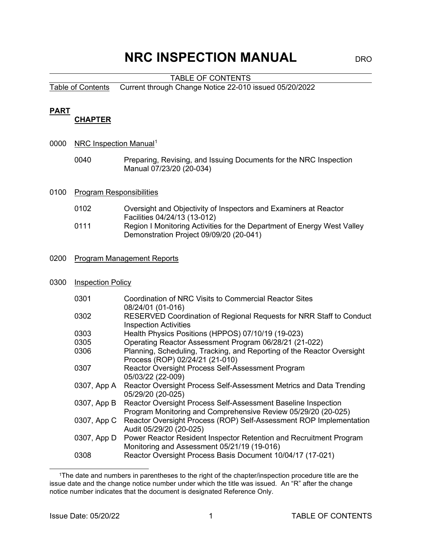# **NRC INSPECTION MANUAL** DRO

### TABLE OF CONTENTS

Table of Contents Current through Change Notice 22-010 issued 05/20/2022

### **PART**

### **CHAPTER**

- 0000 NRC Inspection Manual<sup>[1](#page-0-0)</sup>
	- 0040 Preparing, Revising, and Issuing Documents for the NRC Inspection Manual 07/23/20 (20-034)

### 0100 Program Responsibilities

- 0102 Oversight and Objectivity of Inspectors and Examiners at Reactor Facilities 04/24/13 (13-012)
- 0111 Region I Monitoring Activities for the Department of Energy West Valley Demonstration Project 09/09/20 (20-041)

### 0200 Program Management Reports

### 0300 Inspection Policy

| 0301        | Coordination of NRC Visits to Commercial Reactor Sites<br>08/24/01 (01-016)                                                    |
|-------------|--------------------------------------------------------------------------------------------------------------------------------|
| 0302        | RESERVED Coordination of Regional Requests for NRR Staff to Conduct<br><b>Inspection Activities</b>                            |
| 0303        | Health Physics Positions (HPPOS) 07/10/19 (19-023)                                                                             |
| 0305        | Operating Reactor Assessment Program 06/28/21 (21-022)                                                                         |
| 0306        | Planning, Scheduling, Tracking, and Reporting of the Reactor Oversight<br>Process (ROP) 02/24/21 (21-010)                      |
| 0307        | Reactor Oversight Process Self-Assessment Program<br>05/03/22 (22-009)                                                         |
| 0307, App A | Reactor Oversight Process Self-Assessment Metrics and Data Trending<br>05/29/20 (20-025)                                       |
| 0307, App B | Reactor Oversight Process Self-Assessment Baseline Inspection<br>Program Monitoring and Comprehensive Review 05/29/20 (20-025) |
| 0307, App C | Reactor Oversight Process (ROP) Self-Assessment ROP Implementation<br>Audit 05/29/20 (20-025)                                  |
|             | 0307, App D Power Reactor Resident Inspector Retention and Recruitment Program<br>Monitoring and Assessment 05/21/19 (19-016)  |
| 0308        | Reactor Oversight Process Basis Document 10/04/17 (17-021)                                                                     |

<span id="page-0-0"></span> <sup>1</sup>The date and numbers in parentheses to the right of the chapter/inspection procedure title are the issue date and the change notice number under which the title was issued. An "R" after the change notice number indicates that the document is designated Reference Only.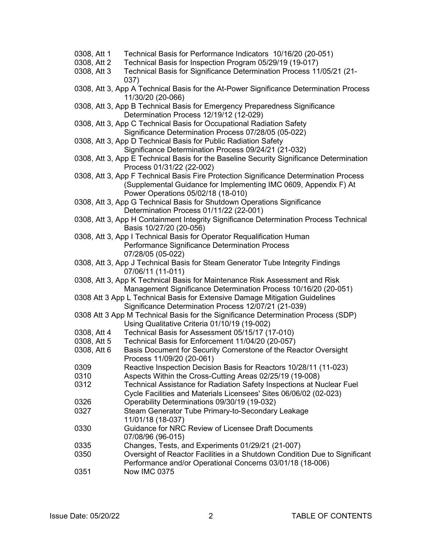- 0308, Att 1 Technical Basis for Performance Indicators 10/16/20 (20-051)
- 0308, Att 2 Technical Basis for Inspection Program 05/29/19 (19-017)
- 0308, Att 3 Technical Basis for Significance Determination Process 11/05/21 (21- 037)
- 0308, Att 3, App A Technical Basis for the At-Power Significance Determination Process 11/30/20 (20-066)
- 0308, Att 3, App B Technical Basis for Emergency Preparedness Significance Determination Process 12/19/12 (12-029)
- 0308, Att 3, App C Technical Basis for Occupational Radiation Safety Significance Determination Process 07/28/05 (05-022)
- 0308, Att 3, App D Technical Basis for Public Radiation Safety Significance Determination Process 09/24/21 (21-032)
- 0308, Att 3, App E Technical Basis for the Baseline Security Significance Determination Process 01/31/22 (22-002)
- 0308, Att 3, App F Technical Basis Fire Protection Significance Determination Process (Supplemental Guidance for Implementing IMC 0609, Appendix F) At Power Operations 05/02/18 (18-010)
- 0308, Att 3, App G Technical Basis for Shutdown Operations Significance Determination Process 01/11/22 (22-001)
- 0308, Att 3, App H Containment Integrity Significance Determination Process Technical Basis 10/27/20 (20-056)
- 0308, Att 3, App I Technical Basis for Operator Requalification Human Performance Significance Determination Process 07/28/05 (05-022)
- 0308, Att 3, App J Technical Basis for Steam Generator Tube Integrity Findings 07/06/11 (11-011)
- 0308, Att 3, App K Technical Basis for Maintenance Risk Assessment and Risk Management Significance Determination Process 10/16/20 (20-051)
- 0308 Att 3 App L Technical Basis for Extensive Damage Mitigation Guidelines Significance Determination Process 12/07/21 (21-039)
- 0308 Att 3 App M Technical Basis for the Significance Determination Process (SDP) Using Qualitative Criteria 01/10/19 (19-002)
- 0308, Att 4 Technical Basis for Assessment 05/15/17 (17-010)
- 0308, Att 5 Technical Basis for Enforcement 11/04/20 (20-057)
- 0308, Att 6 Basis Document for Security Cornerstone of the Reactor Oversight Process 11/09/20 (20-061)
- 0309 Reactive Inspection Decision Basis for Reactors 10/28/11 (11-023)
- 0310 Aspects Within the Cross-Cutting Areas 02/25/19 (19-008)<br>0312 Gechnical Assistance for Radiation Safety Inspections at Ni
- Technical Assistance for Radiation Safety Inspections at Nuclear Fuel Cycle Facilities and Materials Licensees' Sites 06/06/02 (02-023)
- 0326 Operability Determinations 09/30/19 (19-032)
- 0327 Steam Generator Tube Primary-to-Secondary Leakage 11/01/18 (18-037)
- 0330 Guidance for NRC Review of Licensee Draft Documents 07/08/96 (96-015)
- 0335 Changes, Tests, and Experiments 01/29/21 (21-007)
- 0350 Oversight of Reactor Facilities in a Shutdown Condition Due to Significant Performance and/or Operational Concerns 03/01/18 (18-006)
- 0351 Now IMC 0375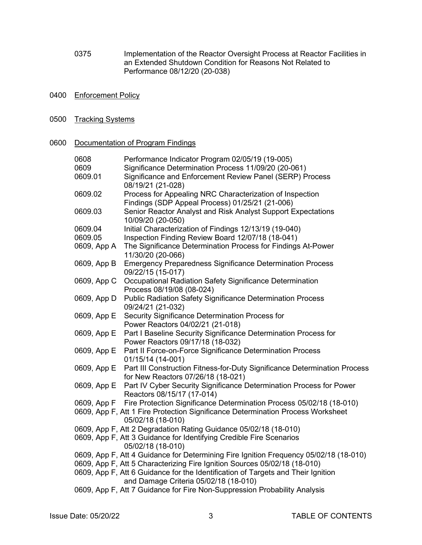- 0375 Implementation of the Reactor Oversight Process at Reactor Facilities in an Extended Shutdown Condition for Reasons Not Related to Performance 08/12/20 (20-038)
- 0400 Enforcement Policy
- 0500 Tracking Systems

### 0600 Documentation of Program Findings

| 0608        | Performance Indicator Program 02/05/19 (19-005)                                                                           |
|-------------|---------------------------------------------------------------------------------------------------------------------------|
| 0609        | Significance Determination Process 11/09/20 (20-061)                                                                      |
| 0609.01     | Significance and Enforcement Review Panel (SERP) Process<br>08/19/21 (21-028)                                             |
| 0609.02     | Process for Appealing NRC Characterization of Inspection                                                                  |
|             | Findings (SDP Appeal Process) 01/25/21 (21-006)                                                                           |
| 0609.03     | Senior Reactor Analyst and Risk Analyst Support Expectations<br>10/09/20 (20-050)                                         |
| 0609.04     | Initial Characterization of Findings 12/13/19 (19-040)                                                                    |
| 0609.05     | Inspection Finding Review Board 12/07/18 (18-041)                                                                         |
| 0609, App A | The Significance Determination Process for Findings At-Power<br>11/30/20 (20-066)                                         |
| 0609, App B | <b>Emergency Preparedness Significance Determination Process</b><br>09/22/15 (15-017)                                     |
| 0609, App C | Occupational Radiation Safety Significance Determination<br>Process 08/19/08 (08-024)                                     |
| 0609, App D | <b>Public Radiation Safety Significance Determination Process</b><br>09/24/21 (21-032)                                    |
| 0609, App E | Security Significance Determination Process for<br>Power Reactors 04/02/21 (21-018)                                       |
| 0609, App E | Part I Baseline Security Significance Determination Process for<br>Power Reactors 09/17/18 (18-032)                       |
| 0609, App E | Part II Force-on-Force Significance Determination Process<br>01/15/14 (14-001)                                            |
| 0609, App E | Part III Construction Fitness-for-Duty Significance Determination Process<br>for New Reactors 07/26/18 (18-021)           |
| 0609, App E | Part IV Cyber Security Significance Determination Process for Power<br>Reactors 08/15/17 (17-014)                         |
| 0609, App F | Fire Protection Significance Determination Process 05/02/18 (18-010)                                                      |
|             | 0609, App F, Att 1 Fire Protection Significance Determination Process Worksheet<br>05/02/18 (18-010)                      |
|             | 0609, App F, Att 2 Degradation Rating Guidance 05/02/18 (18-010)                                                          |
|             | 0609, App F, Att 3 Guidance for Identifying Credible Fire Scenarios<br>05/02/18 (18-010)                                  |
|             | 0609, App F, Att 4 Guidance for Determining Fire Ignition Frequency 05/02/18 (18-010)                                     |
|             | 0609, App F, Att 5 Characterizing Fire Ignition Sources 05/02/18 (18-010)                                                 |
|             | 0609, App F, Att 6 Guidance for the Identification of Targets and Their Ignition<br>and Damage Criteria 05/02/18 (18-010) |
|             | 0609, App F, Att 7 Guidance for Fire Non-Suppression Probability Analysis                                                 |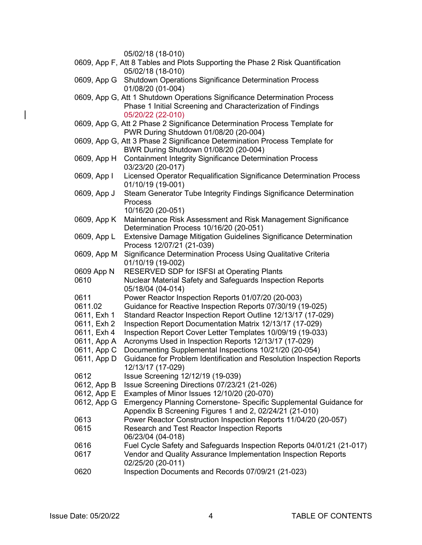|             | 05/02/18 (18-010)                                                                       |
|-------------|-----------------------------------------------------------------------------------------|
|             | 0609, App F, Att 8 Tables and Plots Supporting the Phase 2 Risk Quantification          |
|             | 05/02/18 (18-010)                                                                       |
|             | 0609, App G Shutdown Operations Significance Determination Process<br>01/08/20 (01-004) |
|             | 0609, App G, Att 1 Shutdown Operations Significance Determination Process               |
|             | Phase 1 Initial Screening and Characterization of Findings                              |
|             | 05/20/22 (22-010)                                                                       |
|             | 0609, App G, Att 2 Phase 2 Significance Determination Process Template for              |
|             | PWR During Shutdown 01/08/20 (20-004)                                                   |
|             | 0609, App G, Att 3 Phase 2 Significance Determination Process Template for              |
|             | BWR During Shutdown 01/08/20 (20-004)                                                   |
| 0609, App H | <b>Containment Integrity Significance Determination Process</b>                         |
|             | 03/23/20 (20-017)                                                                       |
| 0609, App I | Licensed Operator Requalification Significance Determination Process                    |
|             | 01/10/19 (19-001)                                                                       |
| 0609, App J | Steam Generator Tube Integrity Findings Significance Determination                      |
|             | Process                                                                                 |
|             | 10/16/20 (20-051)                                                                       |
| 0609, App K | Maintenance Risk Assessment and Risk Management Significance                            |
|             | Determination Process 10/16/20 (20-051)                                                 |
| 0609, App L | Extensive Damage Mitigation Guidelines Significance Determination                       |
|             | Process 12/07/21 (21-039)                                                               |
| 0609, App M | Significance Determination Process Using Qualitative Criteria                           |
|             | 01/10/19 (19-002)                                                                       |
| 0609 App N  | RESERVED SDP for ISFSI at Operating Plants                                              |
| 0610        | Nuclear Material Safety and Safeguards Inspection Reports                               |
|             | 05/18/04 (04-014)                                                                       |
| 0611        | Power Reactor Inspection Reports 01/07/20 (20-003)                                      |
| 0611.02     | Guidance for Reactive Inspection Reports 07/30/19 (19-025)                              |
| 0611, Exh 1 | Standard Reactor Inspection Report Outline 12/13/17 (17-029)                            |
| 0611, Exh 2 | Inspection Report Documentation Matrix 12/13/17 (17-029)                                |
| 0611, Exh 4 | Inspection Report Cover Letter Templates 10/09/19 (19-033)                              |
| 0611, App A | Acronyms Used in Inspection Reports 12/13/17 (17-029)                                   |
| 0611, App C | Documenting Supplemental Inspections 10/21/20 (20-054)                                  |
| 0611, App D | Guidance for Problem Identification and Resolution Inspection Reports                   |
| 0612        | 12/13/17 (17-029)                                                                       |
| 0612, App B | Issue Screening 12/12/19 (19-039)<br>Issue Screening Directions 07/23/21 (21-026)       |
| 0612, App E | Examples of Minor Issues 12/10/20 (20-070)                                              |
| 0612, App G | Emergency Planning Cornerstone- Specific Supplemental Guidance for                      |
|             | Appendix B Screening Figures 1 and 2, 02/24/21 (21-010)                                 |
| 0613        | Power Reactor Construction Inspection Reports 11/04/20 (20-057)                         |
| 0615        | Research and Test Reactor Inspection Reports                                            |
|             | 06/23/04 (04-018)                                                                       |
| 0616        | Fuel Cycle Safety and Safeguards Inspection Reports 04/01/21 (21-017)                   |
| 0617        | Vendor and Quality Assurance Implementation Inspection Reports<br>02/25/20 (20-011)     |
| 0620        | Inspection Documents and Records 07/09/21 (21-023)                                      |
|             |                                                                                         |

 $\begin{array}{c} \rule{0pt}{2ex} \rule{0pt}{2ex} \rule{0pt}{2ex} \rule{0pt}{2ex} \rule{0pt}{2ex} \rule{0pt}{2ex} \rule{0pt}{2ex} \rule{0pt}{2ex} \rule{0pt}{2ex} \rule{0pt}{2ex} \rule{0pt}{2ex} \rule{0pt}{2ex} \rule{0pt}{2ex} \rule{0pt}{2ex} \rule{0pt}{2ex} \rule{0pt}{2ex} \rule{0pt}{2ex} \rule{0pt}{2ex} \rule{0pt}{2ex} \rule{0pt}{2ex} \rule{0pt}{2ex} \rule{0pt}{2ex} \rule{0pt}{2ex} \rule{0pt}{$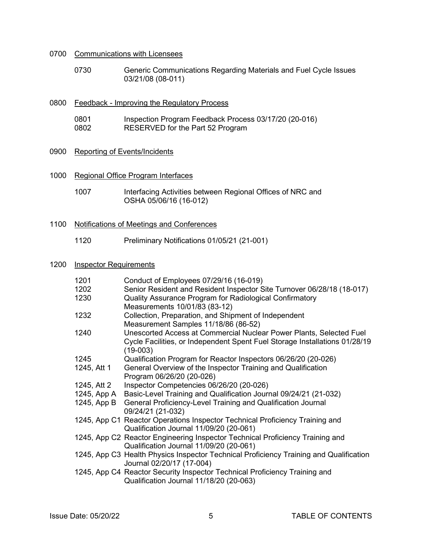### 0700 Communications with Licensees

0730 Generic Communications Regarding Materials and Fuel Cycle Issues 03/21/08 (08-011)

| 0800 | Feedback - Improving the Regulatory Process |                                                       |
|------|---------------------------------------------|-------------------------------------------------------|
|      | 0801                                        | Inspection Program Feedback Process 03/17/20 (20-016) |
|      | 0802                                        | RESERVED for the Part 52 Program                      |

# 0900 Reporting of Events/Incidents

1000 Regional Office Program Interfaces

| 1007 | Interfacing Activities between Regional Offices of NRC and |
|------|------------------------------------------------------------|
|      | OSHA 05/06/16 (16-012)                                     |
|      |                                                            |

### 1100 Notifications of Meetings and Conferences

1120 Preliminary Notifications 01/05/21 (21-001)

### 1200 Inspector Requirements

| 1201        | Conduct of Employees 07/29/16 (16-019)                                                 |
|-------------|----------------------------------------------------------------------------------------|
| 1202        | Senior Resident and Resident Inspector Site Turnover 06/28/18 (18-017)                 |
| 1230        | Quality Assurance Program for Radiological Confirmatory                                |
|             | Measurements 10/01/83 (83-12)                                                          |
| 1232        | Collection, Preparation, and Shipment of Independent                                   |
|             | Measurement Samples 11/18/86 (86-52)                                                   |
| 1240        | Unescorted Access at Commercial Nuclear Power Plants, Selected Fuel                    |
|             | Cycle Facilities, or Independent Spent Fuel Storage Installations 01/28/19             |
|             | $(19-003)$                                                                             |
| 1245        | Qualification Program for Reactor Inspectors 06/26/20 (20-026)                         |
| 1245, Att 1 | General Overview of the Inspector Training and Qualification                           |
|             | Program 06/26/20 (20-026)                                                              |
| 1245, Att 2 | Inspector Competencies 06/26/20 (20-026)                                               |
|             | 1245, App A Basic-Level Training and Qualification Journal 09/24/21 (21-032)           |
|             | 1245, App B General Proficiency-Level Training and Qualification Journal               |
|             | 09/24/21 (21-032)                                                                      |
|             | 1245, App C1 Reactor Operations Inspector Technical Proficiency Training and           |
|             | Qualification Journal 11/09/20 (20-061)                                                |
|             | 1245, App C2 Reactor Engineering Inspector Technical Proficiency Training and          |
|             | Qualification Journal 11/09/20 (20-061)                                                |
|             | 1245, App C3 Health Physics Inspector Technical Proficiency Training and Qualification |
|             | Journal 02/20/17 (17-004)                                                              |
|             | 1245, App C4 Reactor Security Inspector Technical Proficiency Training and             |
|             | Qualification Journal 11/18/20 (20-063)                                                |
|             |                                                                                        |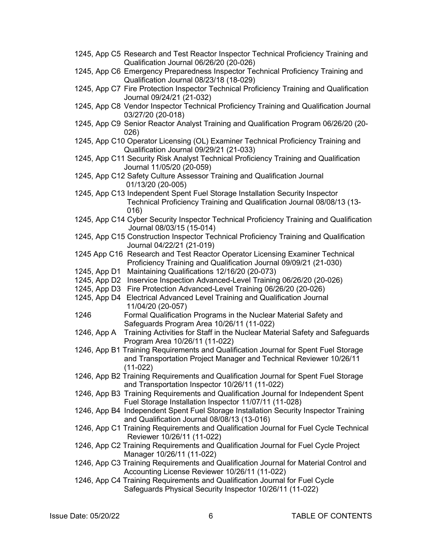1245, App C5 Research and Test Reactor Inspector Technical Proficiency Training and Qualification Journal 06/26/20 (20-026) 1245, App C6 Emergency Preparedness Inspector Technical Proficiency Training and Qualification Journal 08/23/18 (18-029) 1245, App C7 Fire Protection Inspector Technical Proficiency Training and Qualification Journal 09/24/21 (21-032) 1245, App C8 Vendor Inspector Technical Proficiency Training and Qualification Journal 03/27/20 (20-018) 1245, App C9 Senior Reactor Analyst Training and Qualification Program 06/26/20 (20- 026) 1245, App C10 Operator Licensing (OL) Examiner Technical Proficiency Training and Qualification Journal 09/29/21 (21-033) 1245, App C11 Security Risk Analyst Technical Proficiency Training and Qualification Journal 11/05/20 (20-059) 1245, App C12 Safety Culture Assessor Training and Qualification Journal 01/13/20 (20-005) 1245, App C13 Independent Spent Fuel Storage Installation Security Inspector Technical Proficiency Training and Qualification Journal 08/08/13 (13- 016) 1245, App C14 Cyber Security Inspector Technical Proficiency Training and Qualification Journal 08/03/15 (15-014) 1245, App C15 Construction Inspector Technical Proficiency Training and Qualification Journal 04/22/21 (21-019) 1245 App C16 Research and Test Reactor Operator Licensing Examiner Technical Proficiency Training and Qualification Journal 09/09/21 (21-030) 1245, App D1 Maintaining Qualifications 12/16/20 (20-073) 1245, App D2 Inservice Inspection Advanced-Level Training 06/26/20 (20-026) 1245, App D3 Fire Protection Advanced-Level Training 06/26/20 (20-026) 1245, App D4 Electrical Advanced Level Training and Qualification Journal 11/04/20 (20-057) 1246 Formal Qualification Programs in the Nuclear Material Safety and Safeguards Program Area 10/26/11 (11-022) 1246, App A Training Activities for Staff in the Nuclear Material Safety and Safeguards Program Area 10/26/11 (11-022) 1246, App B1 Training Requirements and Qualification Journal for Spent Fuel Storage and Transportation Project Manager and Technical Reviewer 10/26/11 (11-022) 1246, App B2 Training Requirements and Qualification Journal for Spent Fuel Storage and Transportation Inspector 10/26/11 (11-022) 1246, App B3 Training Requirements and Qualification Journal for Independent Spent Fuel Storage Installation Inspector 11/07/11 (11-028) 1246, App B4 Independent Spent Fuel Storage Installation Security Inspector Training and Qualification Journal 08/08/13 (13-016) 1246, App C1 Training Requirements and Qualification Journal for Fuel Cycle Technical Reviewer 10/26/11 (11-022) 1246, App C2 Training Requirements and Qualification Journal for Fuel Cycle Project Manager 10/26/11 (11-022) 1246, App C3 Training Requirements and Qualification Journal for Material Control and Accounting License Reviewer 10/26/11 (11-022) 1246, App C4 Training Requirements and Qualification Journal for Fuel Cycle Safeguards Physical Security Inspector 10/26/11 (11-022)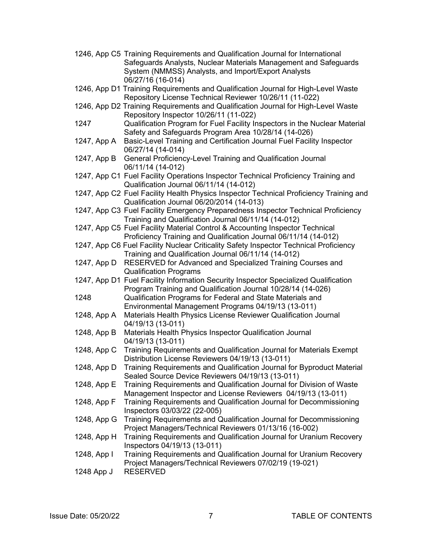|             | 1246, App C5 Training Requirements and Qualification Journal for International<br>Safeguards Analysts, Nuclear Materials Management and Safeguards  |
|-------------|-----------------------------------------------------------------------------------------------------------------------------------------------------|
|             | System (NMMSS) Analysts, and Import/Export Analysts<br>06/27/16 (16-014)                                                                            |
|             | 1246, App D1 Training Requirements and Qualification Journal for High-Level Waste<br>Repository License Technical Reviewer 10/26/11 (11-022)        |
|             | 1246, App D2 Training Requirements and Qualification Journal for High-Level Waste<br>Repository Inspector 10/26/11 (11-022)                         |
| 1247        | Qualification Program for Fuel Facility Inspectors in the Nuclear Material<br>Safety and Safeguards Program Area 10/28/14 (14-026)                  |
| 1247, App A | Basic-Level Training and Certification Journal Fuel Facility Inspector<br>06/27/14 (14-014)                                                         |
| 1247, App B | General Proficiency-Level Training and Qualification Journal<br>06/11/14 (14-012)                                                                   |
|             | 1247, App C1 Fuel Facility Operations Inspector Technical Proficiency Training and<br>Qualification Journal 06/11/14 (14-012)                       |
|             | 1247, App C2 Fuel Facility Health Physics Inspector Technical Proficiency Training and<br>Qualification Journal 06/20/2014 (14-013)                 |
|             | 1247, App C3 Fuel Facility Emergency Preparedness Inspector Technical Proficiency<br>Training and Qualification Journal 06/11/14 (14-012)           |
|             | 1247, App C5 Fuel Facility Material Control & Accounting Inspector Technical<br>Proficiency Training and Qualification Journal 06/11/14 (14-012)    |
|             | 1247, App C6 Fuel Facility Nuclear Criticality Safety Inspector Technical Proficiency<br>Training and Qualification Journal 06/11/14 (14-012)       |
| 1247, App D | RESERVED for Advanced and Specialized Training Courses and<br><b>Qualification Programs</b>                                                         |
|             | 1247, App D1 Fuel Facility Information Security Inspector Specialized Qualification<br>Program Training and Qualification Journal 10/28/14 (14-026) |
| 1248        | Qualification Programs for Federal and State Materials and<br>Environmental Management Programs 04/19/13 (13-011)                                   |
| 1248, App A | Materials Health Physics License Reviewer Qualification Journal<br>04/19/13 (13-011)                                                                |
| 1248, App B | Materials Health Physics Inspector Qualification Journal<br>04/19/13 (13-011)                                                                       |
| 1248, App C | Training Requirements and Qualification Journal for Materials Exempt<br>Distribution License Reviewers 04/19/13 (13-011)                            |
| 1248, App D | Training Requirements and Qualification Journal for Byproduct Material<br>Sealed Source Device Reviewers 04/19/13 (13-011)                          |
| 1248, App E | Training Requirements and Qualification Journal for Division of Waste<br>Management Inspector and License Reviewers 04/19/13 (13-011)               |
| 1248, App F | Training Requirements and Qualification Journal for Decommissioning<br>Inspectors 03/03/22 (22-005)                                                 |
| 1248, App G | Training Requirements and Qualification Journal for Decommissioning<br>Project Managers/Technical Reviewers 01/13/16 (16-002)                       |
| 1248, App H | Training Requirements and Qualification Journal for Uranium Recovery<br>Inspectors 04/19/13 (13-011)                                                |
| 1248, App I | Training Requirements and Qualification Journal for Uranium Recovery<br>Project Managers/Technical Reviewers 07/02/19 (19-021)                      |
| 1248 App J  | <b>RESERVED</b>                                                                                                                                     |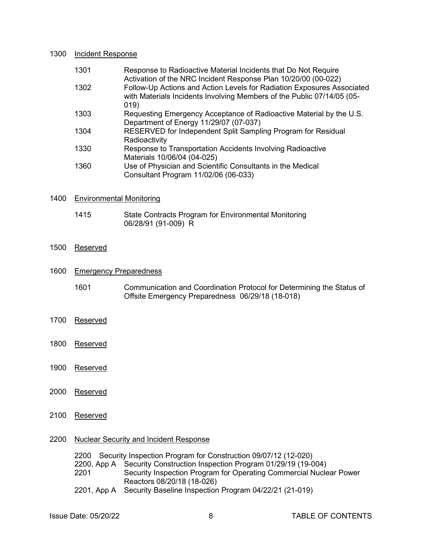#### 1300 Incident Response

| 1301 | Response to Radioactive Material Incidents that Do Not Require<br>Activation of the NRC Incident Response Plan 10/20/00 (00-022)                         |
|------|----------------------------------------------------------------------------------------------------------------------------------------------------------|
| 1302 | Follow-Up Actions and Action Levels for Radiation Exposures Associated<br>with Materials Incidents Involving Members of the Public 07/14/05 (05-<br>019) |
| 1303 | Requesting Emergency Acceptance of Radioactive Material by the U.S.<br>Department of Energy 11/29/07 (07-037)                                            |
| 1304 | RESERVED for Independent Split Sampling Program for Residual<br>Radioactivity                                                                            |
| 1330 | Response to Transportation Accidents Involving Radioactive<br>Materials 10/06/04 (04-025)                                                                |
| 1360 | Use of Physician and Scientific Consultants in the Medical<br>Consultant Program 11/02/06 (06-033)                                                       |

### 1400 Environmental Monitoring

1415 State Contracts Program for Environmental Monitoring 06/28/91 (91-009) R

### 1500 Reserved

### 1600 Emergency Preparedness

- 1601 Communication and Coordination Protocol for Determining the Status of Offsite Emergency Preparedness 06/29/18 (18-018)
- 1700 Reserved
- 1800 Reserved
- 1900 Reserved
- 2000 Reserved
- 2100 Reserved

### 2200 Nuclear Security and Incident Response

2200 Security Inspection Program for Construction 09/07/12 (12-020)

2200, App A Security Construction Inspection Program 01/29/19 (19-004)

Security Inspection Program for Operating Commercial Nuclear Power Reactors 08/20/18 (18-026)

2201, App A Security Baseline Inspection Program 04/22/21 (21-019)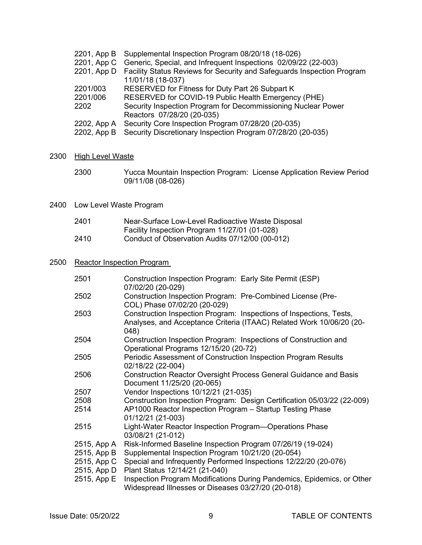|             | 2201, App B Supplemental Inspection Program 08/20/18 (18-026)              |
|-------------|----------------------------------------------------------------------------|
|             | 2201, App C Generic, Special, and Infrequent Inspections 02/09/22 (22-003) |
| 2201, App D | Facility Status Reviews for Security and Safeguards Inspection Program     |
|             | 11/01/18 (18-037)                                                          |
| 2201/003    | RESERVED for Fitness for Duty Part 26 Subpart K                            |
| 2201/006    | RESERVED for COVID-19 Public Health Emergency (PHE)                        |
| 2202        | Security Inspection Program for Decommissioning Nuclear Power              |
|             | Reactors 07/28/20 (20-035)                                                 |
| 2202, App A | Security Core Inspection Program 07/28/20 (20-035)                         |
| 2202, App B | Security Discretionary Inspection Program 07/28/20 (20-035)                |
|             |                                                                            |

# 2300 High Level Waste

- 2300 Yucca Mountain Inspection Program: License Application Review Period 09/11/08 (08-026)
- 2400 Low Level Waste Program

| 2401 | Near-Surface Low-Level Radioactive Waste Disposal |
|------|---------------------------------------------------|
|      | Facility Inspection Program 11/27/01 (01-028)     |
| 2410 | Conduct of Observation Audits 07/12/00 (00-012)   |

# 2500 Reactor Inspection Program

| 2501        | Construction Inspection Program: Early Site Permit (ESP)<br>07/02/20 (20-029)                                                                        |
|-------------|------------------------------------------------------------------------------------------------------------------------------------------------------|
| 2502        | Construction Inspection Program: Pre-Combined License (Pre-<br>COL) Phase 07/02/20 (20-029)                                                          |
| 2503        | Construction Inspection Program: Inspections of Inspections, Tests,<br>Analyses, and Acceptance Criteria (ITAAC) Related Work 10/06/20 (20-<br>(048) |
| 2504        | Construction Inspection Program: Inspections of Construction and<br>Operational Programs 12/15/20 (20-72)                                            |
| 2505        | Periodic Assessment of Construction Inspection Program Results<br>02/18/22 (22-004)                                                                  |
| 2506        | <b>Construction Reactor Oversight Process General Guidance and Basis</b><br>Document 11/25/20 (20-065)                                               |
| 2507        | Vendor Inspections 10/12/21 (21-035)                                                                                                                 |
| 2508        | Construction Inspection Program: Design Certification 05/03/22 (22-009)                                                                              |
| 2514        | AP1000 Reactor Inspection Program - Startup Testing Phase<br>01/12/21 (21-003)                                                                       |
| 2515        | Light-Water Reactor Inspection Program—Operations Phase<br>03/08/21 (21-012)                                                                         |
| 2515, App A | Risk-Informed Baseline Inspection Program 07/26/19 (19-024)                                                                                          |
| 2515, App B | Supplemental Inspection Program 10/21/20 (20-054)                                                                                                    |
|             | 2515, App C Special and Infrequently Performed Inspections 12/22/20 (20-076)<br>2515, App D Plant Status 12/14/21 (21-040)                           |
| 2515, App E | Inspection Program Modifications During Pandemics, Epidemics, or Other<br>Widespread Illnesses or Diseases 03/27/20 (20-018)                         |
|             |                                                                                                                                                      |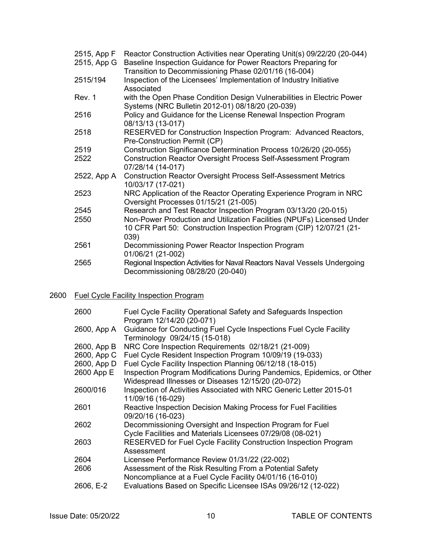| 2515, App F<br>2515, App G | Reactor Construction Activities near Operating Unit(s) 09/22/20 (20-044)<br>Baseline Inspection Guidance for Power Reactors Preparing for<br>Transition to Decommissioning Phase 02/01/16 (16-004) |
|----------------------------|----------------------------------------------------------------------------------------------------------------------------------------------------------------------------------------------------|
| 2515/194                   | Inspection of the Licensees' Implementation of Industry Initiative<br>Associated                                                                                                                   |
| Rev. 1                     | with the Open Phase Condition Design Vulnerabilities in Electric Power<br>Systems (NRC Bulletin 2012-01) 08/18/20 (20-039)                                                                         |
| 2516                       | Policy and Guidance for the License Renewal Inspection Program<br>08/13/13 (13-017)                                                                                                                |
| 2518                       | RESERVED for Construction Inspection Program: Advanced Reactors,<br>Pre-Construction Permit (CP)                                                                                                   |
| 2519                       | Construction Significance Determination Process 10/26/20 (20-055)                                                                                                                                  |
| 2522                       | <b>Construction Reactor Oversight Process Self-Assessment Program</b><br>07/28/14 (14-017)                                                                                                         |
| 2522, App A                | <b>Construction Reactor Oversight Process Self-Assessment Metrics</b><br>10/03/17 (17-021)                                                                                                         |
| 2523                       | NRC Application of the Reactor Operating Experience Program in NRC<br>Oversight Processes 01/15/21 (21-005)                                                                                        |
| 2545                       | Research and Test Reactor Inspection Program 03/13/20 (20-015)                                                                                                                                     |
| 2550                       | Non-Power Production and Utilization Facilities (NPUFs) Licensed Under<br>10 CFR Part 50: Construction Inspection Program (CIP) 12/07/21 (21-<br>039)                                              |
| 2561                       | Decommissioning Power Reactor Inspection Program<br>01/06/21 (21-002)                                                                                                                              |
| 2565                       | Regional Inspection Activities for Naval Reactors Naval Vessels Undergoing<br>Decommissioning 08/28/20 (20-040)                                                                                    |

# 2600 Fuel Cycle Facility Inspection Program

| 2600        | Fuel Cycle Facility Operational Safety and Safeguards Inspection<br>Program 12/14/20 (20-071)                                |
|-------------|------------------------------------------------------------------------------------------------------------------------------|
| 2600, App A | Guidance for Conducting Fuel Cycle Inspections Fuel Cycle Facility<br>Terminology 09/24/15 (15-018)                          |
| 2600, App B | NRC Core Inspection Requirements 02/18/21 (21-009)                                                                           |
| 2600, App C | Fuel Cycle Resident Inspection Program 10/09/19 (19-033)                                                                     |
|             | 2600, App D Fuel Cycle Facility Inspection Planning 06/12/18 (18-015)                                                        |
| 2600 App E  | Inspection Program Modifications During Pandemics, Epidemics, or Other<br>Widespread Illnesses or Diseases 12/15/20 (20-072) |
| 2600/016    | Inspection of Activities Associated with NRC Generic Letter 2015-01<br>11/09/16 (16-029)                                     |
| 2601        | Reactive Inspection Decision Making Process for Fuel Facilities<br>09/20/16 (16-023)                                         |
| 2602        | Decommissioning Oversight and Inspection Program for Fuel                                                                    |
|             | Cycle Facilities and Materials Licensees 07/29/08 (08-021)                                                                   |
| 2603        | RESERVED for Fuel Cycle Facility Construction Inspection Program<br>Assessment                                               |
| 2604        | Licensee Performance Review 01/31/22 (22-002)                                                                                |
| 2606        | Assessment of the Risk Resulting From a Potential Safety<br>Noncompliance at a Fuel Cycle Facility 04/01/16 (16-010)         |
| 2606, E-2   | Evaluations Based on Specific Licensee ISAs 09/26/12 (12-022)                                                                |
|             |                                                                                                                              |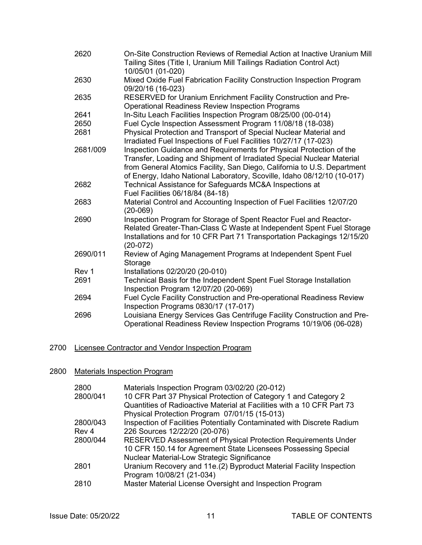| 2620     | On-Site Construction Reviews of Remedial Action at Inactive Uranium Mill<br>Tailing Sites (Title I, Uranium Mill Tailings Radiation Control Act)<br>10/05/01 (01-020)                                                                                                                              |
|----------|----------------------------------------------------------------------------------------------------------------------------------------------------------------------------------------------------------------------------------------------------------------------------------------------------|
| 2630     | Mixed Oxide Fuel Fabrication Facility Construction Inspection Program<br>09/20/16 (16-023)                                                                                                                                                                                                         |
| 2635     | RESERVED for Uranium Enrichment Facility Construction and Pre-<br><b>Operational Readiness Review Inspection Programs</b>                                                                                                                                                                          |
| 2641     | In-Situ Leach Facilities Inspection Program 08/25/00 (00-014)                                                                                                                                                                                                                                      |
| 2650     | Fuel Cycle Inspection Assessment Program 11/08/18 (18-038)                                                                                                                                                                                                                                         |
| 2681     | Physical Protection and Transport of Special Nuclear Material and<br>Irradiated Fuel Inspections of Fuel Facilities 10/27/17 (17-023)                                                                                                                                                              |
| 2681/009 | Inspection Guidance and Requirements for Physical Protection of the<br>Transfer, Loading and Shipment of Irradiated Special Nuclear Material<br>from General Atomics Facility, San Diego, California to U.S. Department<br>of Energy, Idaho National Laboratory, Scoville, Idaho 08/12/10 (10-017) |
| 2682     | Technical Assistance for Safeguards MC&A Inspections at<br>Fuel Facilities 06/18/84 (84-18)                                                                                                                                                                                                        |
| 2683     | Material Control and Accounting Inspection of Fuel Facilities 12/07/20<br>$(20-069)$                                                                                                                                                                                                               |
| 2690     | Inspection Program for Storage of Spent Reactor Fuel and Reactor-<br>Related Greater-Than-Class C Waste at Independent Spent Fuel Storage<br>Installations and for 10 CFR Part 71 Transportation Packagings 12/15/20<br>$(20-072)$                                                                 |
| 2690/011 | Review of Aging Management Programs at Independent Spent Fuel<br>Storage                                                                                                                                                                                                                           |
| Rev 1    | Installations 02/20/20 (20-010)                                                                                                                                                                                                                                                                    |
| 2691     | Technical Basis for the Independent Spent Fuel Storage Installation<br>Inspection Program 12/07/20 (20-069)                                                                                                                                                                                        |
| 2694     | Fuel Cycle Facility Construction and Pre-operational Readiness Review<br>Inspection Programs 0830/17 (17-017)                                                                                                                                                                                      |
| 2696     | Louisiana Energy Services Gas Centrifuge Facility Construction and Pre-<br>Operational Readiness Review Inspection Programs 10/19/06 (06-028)                                                                                                                                                      |

# 2700 Licensee Contractor and Vendor Inspection Program

# 2800 Materials Inspection Program

| 2800<br>2800/041 | Materials Inspection Program 03/02/20 (20-012)<br>10 CFR Part 37 Physical Protection of Category 1 and Category 2<br>Quantities of Radioactive Material at Facilities with a 10 CFR Part 73 |
|------------------|---------------------------------------------------------------------------------------------------------------------------------------------------------------------------------------------|
|                  | Physical Protection Program 07/01/15 (15-013)                                                                                                                                               |
| 2800/043         | Inspection of Facilities Potentially Contaminated with Discrete Radium                                                                                                                      |
| Rev <sub>4</sub> | 226 Sources 12/22/20 (20-076)                                                                                                                                                               |
| 2800/044         | <b>RESERVED Assessment of Physical Protection Requirements Under</b><br>10 CFR 150.14 for Agreement State Licensees Possessing Special<br>Nuclear Material-Low Strategic Significance       |
| 2801             | Uranium Recovery and 11e.(2) Byproduct Material Facility Inspection<br>Program 10/08/21 (21-034)                                                                                            |
| 2810             | Master Material License Oversight and Inspection Program                                                                                                                                    |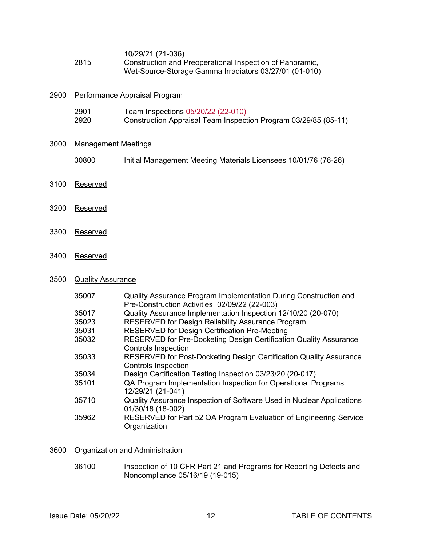|      | 10/29/21 (21-036)                                        |
|------|----------------------------------------------------------|
| 2815 | Construction and Preoperational Inspection of Panoramic, |
|      | Wet-Source-Storage Gamma Irradiators 03/27/01 (01-010)   |

| 2900 | Performance Appraisal Program |                                                                                                       |  |
|------|-------------------------------|-------------------------------------------------------------------------------------------------------|--|
|      | 2901<br>2920                  | Team Inspections 05/20/22 (22-010)<br>Construction Appraisal Team Inspection Program 03/29/85 (85-11) |  |
| 3000 | <b>Management Meetings</b>    |                                                                                                       |  |
|      | 30800                         | Initial Management Meeting Materials Licensees 10/01/76 (76-26)                                       |  |
| 3100 | Reserved                      |                                                                                                       |  |
| 3200 | Reserved                      |                                                                                                       |  |
|      |                               |                                                                                                       |  |

3400 Reserved

3300 Reserved

# 3500 Quality Assurance

| 35007 | Quality Assurance Program Implementation During Construction and<br>Pre-Construction Activities 02/09/22 (22-003) |
|-------|-------------------------------------------------------------------------------------------------------------------|
| 35017 | Quality Assurance Implementation Inspection 12/10/20 (20-070)                                                     |
| 35023 | RESERVED for Design Reliability Assurance Program                                                                 |
| 35031 | <b>RESERVED for Design Certification Pre-Meeting</b>                                                              |
| 35032 | RESERVED for Pre-Docketing Design Certification Quality Assurance                                                 |
|       | <b>Controls Inspection</b>                                                                                        |
| 35033 | RESERVED for Post-Docketing Design Certification Quality Assurance                                                |
|       | <b>Controls Inspection</b>                                                                                        |
| 35034 | Design Certification Testing Inspection 03/23/20 (20-017)                                                         |
| 35101 | QA Program Implementation Inspection for Operational Programs                                                     |
|       | 12/29/21 (21-041)                                                                                                 |
| 35710 | Quality Assurance Inspection of Software Used in Nuclear Applications                                             |
|       | 01/30/18 (18-002)                                                                                                 |
| 35962 | RESERVED for Part 52 QA Program Evaluation of Engineering Service                                                 |
|       | Organization                                                                                                      |

### 3600 Organization and Administration

36100 Inspection of 10 CFR Part 21 and Programs for Reporting Defects and Noncompliance 05/16/19 (19-015)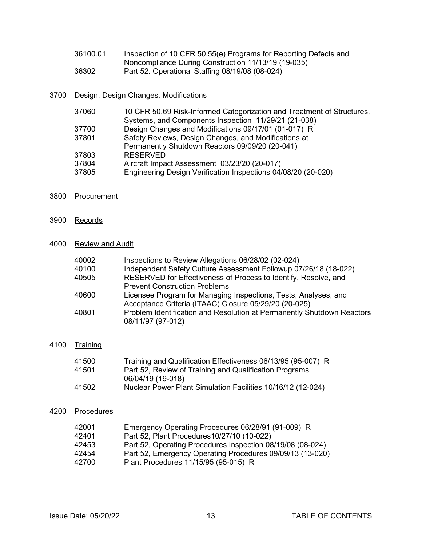| 36100.01 | Inspection of 10 CFR 50.55(e) Programs for Reporting Defects and |
|----------|------------------------------------------------------------------|
|          | Noncompliance During Construction 11/13/19 (19-035)              |
| 36302    | Part 52. Operational Staffing 08/19/08 (08-024)                  |

### 3700 Design, Design Changes, Modifications

| 37060 | 10 CFR 50.69 Risk-Informed Categorization and Treatment of Structures, |
|-------|------------------------------------------------------------------------|
|       | Systems, and Components Inspection 11/29/21 (21-038)                   |
| 37700 | Design Changes and Modifications 09/17/01 (01-017) R                   |
| 37801 | Safety Reviews, Design Changes, and Modifications at                   |
|       | Permanently Shutdown Reactors 09/09/20 (20-041)                        |
| 37803 | <b>RESERVED</b>                                                        |
| 37804 | Aircraft Impact Assessment 03/23/20 (20-017)                           |
| 37805 | Engineering Design Verification Inspections 04/08/20 (20-020)          |
|       |                                                                        |

- 3800 Procurement
- 3900 Records

### 4000 Review and Audit

| 40002<br>40100 | Inspections to Review Allegations 06/28/02 (02-024)<br>Independent Safety Culture Assessment Followup 07/26/18 (18-022) |
|----------------|-------------------------------------------------------------------------------------------------------------------------|
|                |                                                                                                                         |
| 40505          | RESERVED for Effectiveness of Process to Identify, Resolve, and                                                         |
|                | <b>Prevent Construction Problems</b>                                                                                    |
| 40600          | Licensee Program for Managing Inspections, Tests, Analyses, and                                                         |
|                | Acceptance Criteria (ITAAC) Closure 05/29/20 (20-025)                                                                   |
| 40801          | Problem Identification and Resolution at Permanently Shutdown Reactors<br>08/11/97 (97-012)                             |

### 4100 Training

| 41500 | Training and Qualification Effectiveness 06/13/95 (95-007) R |
|-------|--------------------------------------------------------------|
| 41501 | Part 52, Review of Training and Qualification Programs       |
|       | 06/04/19 (19-018)                                            |
| 41502 | Nuclear Power Plant Simulation Facilities 10/16/12 (12-024)  |

### 4200 Procedures

| 42001 | Emergency Operating Procedures 06/28/91 (91-009) R         |
|-------|------------------------------------------------------------|
| 42401 | Part 52, Plant Procedures 10/27/10 (10-022)                |
| 42453 | Part 52, Operating Procedures Inspection 08/19/08 (08-024) |
| 42454 | Part 52, Emergency Operating Procedures 09/09/13 (13-020)  |
| 42700 | Plant Procedures 11/15/95 (95-015) R                       |
|       |                                                            |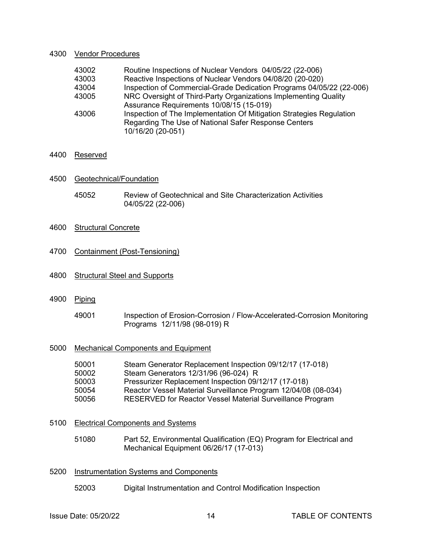#### 4300 Vendor Procedures

| 43002 | Routine Inspections of Nuclear Vendors 04/05/22 (22-006)             |
|-------|----------------------------------------------------------------------|
| 43003 | Reactive Inspections of Nuclear Vendors 04/08/20 (20-020)            |
| 43004 | Inspection of Commercial-Grade Dedication Programs 04/05/22 (22-006) |
| 43005 | NRC Oversight of Third-Party Organizations Implementing Quality      |
|       | Assurance Requirements 10/08/15 (15-019)                             |
| 43006 | Inspection of The Implementation Of Mitigation Strategies Regulation |
|       | Regarding The Use of National Safer Response Centers                 |
|       | 10/16/20 (20-051)                                                    |

### 4400 Reserved

- 4500 Geotechnical/Foundation
	- 45052 Review of Geotechnical and Site Characterization Activities 04/05/22 (22-006)
- 4600 Structural Concrete
- 4700 Containment (Post-Tensioning)
- 4800 Structural Steel and Supports
- 4900 Piping
	- 49001 Inspection of Erosion-Corrosion / Flow-Accelerated-Corrosion Monitoring Programs 12/11/98 (98-019) R
- 5000 Mechanical Components and Equipment

| 50001 | Steam Generator Replacement Inspection 09/12/17 (17-018)       |
|-------|----------------------------------------------------------------|
| 50002 | Steam Generators 12/31/96 (96-024) R                           |
| 50003 | Pressurizer Replacement Inspection 09/12/17 (17-018)           |
| 50054 | Reactor Vessel Material Surveillance Program 12/04/08 (08-034) |
| 50056 | RESERVED for Reactor Vessel Material Surveillance Program      |
|       |                                                                |

- 5100 Electrical Components and Systems
	- 51080 Part 52, Environmental Qualification (EQ) Program for Electrical and Mechanical Equipment 06/26/17 (17-013)

### 5200 Instrumentation Systems and Components

52003 Digital Instrumentation and Control Modification Inspection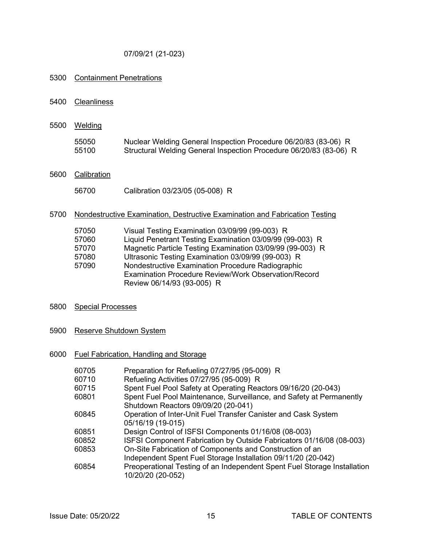### 07/09/21 (21-023)

### 5300 Containment Penetrations

- 5400 Cleanliness
- 5500 Welding

| 55050 | Nuclear Welding General Inspection Procedure 06/20/83 (83-06) R    |
|-------|--------------------------------------------------------------------|
| 55100 | Structural Welding General Inspection Procedure 06/20/83 (83-06) R |

# 5600 Calibration

56700 Calibration 03/23/05 (05-008) R

### 5700 Nondestructive Examination, Destructive Examination and Fabrication Testing

| 57050 | Visual Testing Examination 03/09/99 (99-003) R              |
|-------|-------------------------------------------------------------|
| 57060 | Liquid Penetrant Testing Examination 03/09/99 (99-003) R    |
| 57070 | Magnetic Particle Testing Examination 03/09/99 (99-003) R   |
| 57080 | Ultrasonic Testing Examination 03/09/99 (99-003) R          |
| 57090 | Nondestructive Examination Procedure Radiographic           |
|       | <b>Examination Procedure Review/Work Observation/Record</b> |
|       | Review 06/14/93 (93-005) R                                  |

# 5800 Special Processes

5900 Reserve Shutdown System

### 6000 Fuel Fabrication, Handling and Storage

| 60705<br>60710 | Preparation for Refueling 07/27/95 (95-009) R<br>Refueling Activities 07/27/95 (95-009) R     |
|----------------|-----------------------------------------------------------------------------------------------|
|                |                                                                                               |
| 60715          | Spent Fuel Pool Safety at Operating Reactors 09/16/20 (20-043)                                |
| 60801          | Spent Fuel Pool Maintenance, Surveillance, and Safety at Permanently                          |
|                | Shutdown Reactors 09/09/20 (20-041)                                                           |
| 60845          | Operation of Inter-Unit Fuel Transfer Canister and Cask System                                |
|                | 05/16/19 (19-015)                                                                             |
| 60851          | Design Control of ISFSI Components 01/16/08 (08-003)                                          |
| 60852          | ISFSI Component Fabrication by Outside Fabricators 01/16/08 (08-003)                          |
| 60853          | On-Site Fabrication of Components and Construction of an                                      |
|                | Independent Spent Fuel Storage Installation 09/11/20 (20-042)                                 |
| 60854          | Preoperational Testing of an Independent Spent Fuel Storage Installation<br>10/20/20 (20-052) |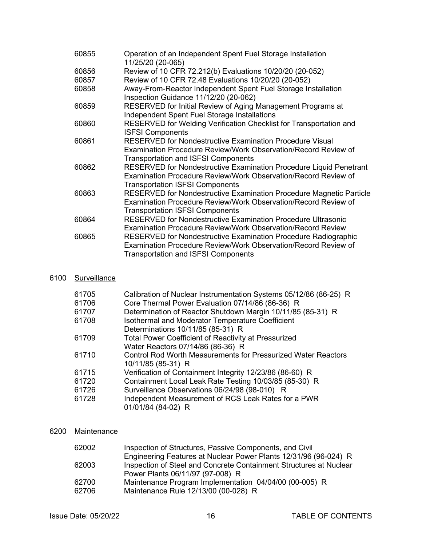| 60855 | Operation of an Independent Spent Fuel Storage Installation<br>11/25/20 (20-065)                                                                                                      |
|-------|---------------------------------------------------------------------------------------------------------------------------------------------------------------------------------------|
| 60856 | Review of 10 CFR 72.212(b) Evaluations 10/20/20 (20-052)                                                                                                                              |
| 60857 | Review of 10 CFR 72.48 Evaluations 10/20/20 (20-052)                                                                                                                                  |
| 60858 | Away-From-Reactor Independent Spent Fuel Storage Installation<br>Inspection Guidance 11/12/20 (20-062)                                                                                |
| 60859 | RESERVED for Initial Review of Aging Management Programs at<br>Independent Spent Fuel Storage Installations                                                                           |
| 60860 | RESERVED for Welding Verification Checklist for Transportation and<br><b>ISFSI Components</b>                                                                                         |
| 60861 | <b>RESERVED for Nondestructive Examination Procedure Visual</b><br>Examination Procedure Review/Work Observation/Record Review of<br><b>Transportation and ISFSI Components</b>       |
| 60862 | RESERVED for Nondestructive Examination Procedure Liquid Penetrant<br>Examination Procedure Review/Work Observation/Record Review of<br><b>Transportation ISFSI Components</b>        |
| 60863 | RESERVED for Nondestructive Examination Procedure Magnetic Particle<br>Examination Procedure Review/Work Observation/Record Review of<br><b>Transportation ISFSI Components</b>       |
| 60864 | <b>RESERVED for Nondestructive Examination Procedure Ultrasonic</b><br><b>Examination Procedure Review/Work Observation/Record Review</b>                                             |
| 60865 | <b>RESERVED for Nondestructive Examination Procedure Radiographic</b><br>Examination Procedure Review/Work Observation/Record Review of<br><b>Transportation and ISFSI Components</b> |

# 6100 Surveillance

| 61705 | Calibration of Nuclear Instrumentation Systems 05/12/86 (86-25) R |
|-------|-------------------------------------------------------------------|
| 61706 | Core Thermal Power Evaluation 07/14/86 (86-36) R                  |
| 61707 | Determination of Reactor Shutdown Margin 10/11/85 (85-31) R       |
| 61708 | Isothermal and Moderator Temperature Coefficient                  |
|       | Determinations 10/11/85 (85-31) R                                 |
| 61709 | <b>Total Power Coefficient of Reactivity at Pressurized</b>       |
|       | Water Reactors 07/14/86 (86-36) R                                 |
| 61710 | Control Rod Worth Measurements for Pressurized Water Reactors     |
|       | 10/11/85 (85-31) R                                                |
| 61715 | Verification of Containment Integrity 12/23/86 (86-60) R          |
| 61720 | Containment Local Leak Rate Testing 10/03/85 (85-30) R            |
| 61726 | Surveillance Observations 06/24/98 (98-010) R                     |
| 61728 | Independent Measurement of RCS Leak Rates for a PWR               |
|       | 01/01/84 (84-02) R                                                |
|       |                                                                   |

# 6200 Maintenance

| 62002 | Inspection of Structures, Passive Components, and Civil            |
|-------|--------------------------------------------------------------------|
|       | Engineering Features at Nuclear Power Plants 12/31/96 (96-024) R   |
| 62003 | Inspection of Steel and Concrete Containment Structures at Nuclear |
|       | Power Plants 06/11/97 (97-008) R                                   |
| 62700 | Maintenance Program Implementation 04/04/00 (00-005) R             |
| 62706 | Maintenance Rule 12/13/00 (00-028) R                               |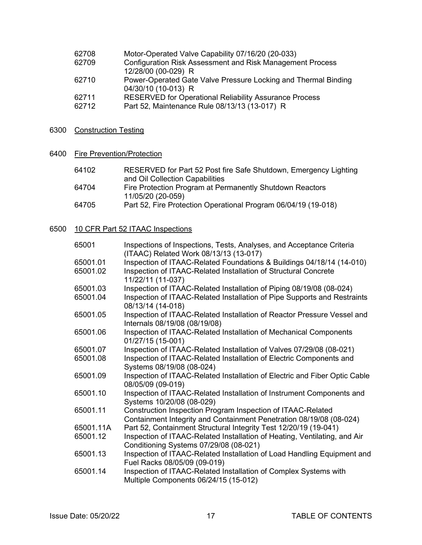| 62708 | Motor-Operated Valve Capability 07/16/20 (20-033) |  |
|-------|---------------------------------------------------|--|
|       |                                                   |  |

- 62709 Configuration Risk Assessment and Risk Management Process 12/28/00 (00-029) R<br>Power-Operated Gate
- **FIGURE COVERS**<br>Fower-Operated Gate Valve Pressure Locking and Thermal Binding 04/30/10 (10-013) R
- 62711 RESERVED for Operational Reliability Assurance Process
- 62712 Part 52, Maintenance Rule 08/13/13 (13-017) R
- 6300 Construction Testing
- 6400 Fire Prevention/Protection

| 64102 | RESERVED for Part 52 Post fire Safe Shutdown, Emergency Lighting |
|-------|------------------------------------------------------------------|
|       | and Oil Collection Capabilities                                  |
| 64704 | Fire Protection Program at Permanently Shutdown Reactors         |
|       | 11/05/20 (20-059)                                                |
| 64705 | Part 52, Fire Protection Operational Program 06/04/19 (19-018)   |

### 6500 10 CFR Part 52 ITAAC Inspections

| 65001                | Inspections of Inspections, Tests, Analyses, and Acceptance Criteria<br>(ITAAC) Related Work 08/13/13 (13-017)                                                        |
|----------------------|-----------------------------------------------------------------------------------------------------------------------------------------------------------------------|
| 65001.01<br>65001.02 | Inspection of ITAAC-Related Foundations & Buildings 04/18/14 (14-010)<br>Inspection of ITAAC-Related Installation of Structural Concrete<br>11/22/11 (11-037)         |
| 65001.03<br>65001.04 | Inspection of ITAAC-Related Installation of Piping 08/19/08 (08-024)<br>Inspection of ITAAC-Related Installation of Pipe Supports and Restraints<br>08/13/14 (14-018) |
| 65001.05             | Inspection of ITAAC-Related Installation of Reactor Pressure Vessel and<br>Internals 08/19/08 (08/19/08)                                                              |
| 65001.06             | Inspection of ITAAC-Related Installation of Mechanical Components<br>01/27/15 (15-001)                                                                                |
| 65001.07             | Inspection of ITAAC-Related Installation of Valves 07/29/08 (08-021)                                                                                                  |
| 65001.08             | Inspection of ITAAC-Related Installation of Electric Components and<br>Systems 08/19/08 (08-024)                                                                      |
| 65001.09             | Inspection of ITAAC-Related Installation of Electric and Fiber Optic Cable<br>08/05/09 (09-019)                                                                       |
| 65001.10             | Inspection of ITAAC-Related Installation of Instrument Components and<br>Systems 10/20/08 (08-029)                                                                    |
| 65001.11             | Construction Inspection Program Inspection of ITAAC-Related<br>Containment Integrity and Containment Penetration 08/19/08 (08-024)                                    |
| 65001.11A            | Part 52, Containment Structural Integrity Test 12/20/19 (19-041)                                                                                                      |
| 65001.12             | Inspection of ITAAC-Related Installation of Heating, Ventilating, and Air<br>Conditioning Systems 07/29/08 (08-021)                                                   |
| 65001.13             | Inspection of ITAAC-Related Installation of Load Handling Equipment and<br>Fuel Racks 08/05/09 (09-019)                                                               |
| 65001.14             | Inspection of ITAAC-Related Installation of Complex Systems with<br>Multiple Components 06/24/15 (15-012)                                                             |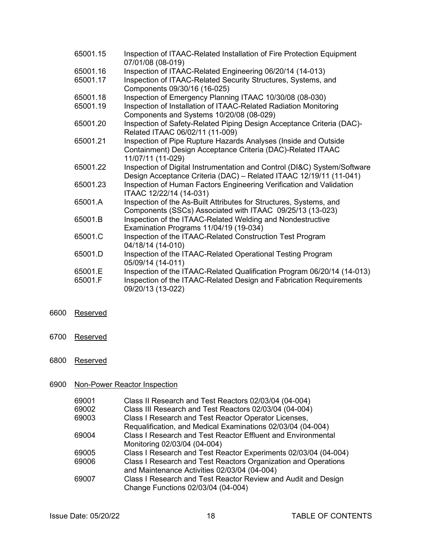| 65001.15           | Inspection of ITAAC-Related Installation of Fire Protection Equipment<br>07/01/08 (08-019)                                                                          |
|--------------------|---------------------------------------------------------------------------------------------------------------------------------------------------------------------|
| 65001.16           | Inspection of ITAAC-Related Engineering 06/20/14 (14-013)                                                                                                           |
| 65001.17           | Inspection of ITAAC-Related Security Structures, Systems, and<br>Components 09/30/16 (16-025)                                                                       |
| 65001.18           | Inspection of Emergency Planning ITAAC 10/30/08 (08-030)                                                                                                            |
| 65001.19           | Inspection of Installation of ITAAC-Related Radiation Monitoring<br>Components and Systems 10/20/08 (08-029)                                                        |
| 65001.20           | Inspection of Safety-Related Piping Design Acceptance Criteria (DAC)-<br>Related ITAAC 06/02/11 (11-009)                                                            |
| 65001.21           | Inspection of Pipe Rupture Hazards Analyses (Inside and Outside<br>Containment) Design Acceptance Criteria (DAC)-Related ITAAC<br>11/07/11 (11-029)                 |
| 65001.22           | Inspection of Digital Instrumentation and Control (DI&C) System/Software<br>Design Acceptance Criteria (DAC) - Related ITAAC 12/19/11 (11-041)                      |
| 65001.23           | Inspection of Human Factors Engineering Verification and Validation<br>ITAAC 12/22/14 (14-031)                                                                      |
| 65001.A            | Inspection of the As-Built Attributes for Structures, Systems, and<br>Components (SSCs) Associated with ITAAC 09/25/13 (13-023)                                     |
| 65001.B            | Inspection of the ITAAC-Related Welding and Nondestructive<br>Examination Programs 11/04/19 (19-034)                                                                |
| 65001.C            | Inspection of the ITAAC-Related Construction Test Program<br>04/18/14 (14-010)                                                                                      |
| 65001.D            | Inspection of the ITAAC-Related Operational Testing Program<br>05/09/14 (14-011)                                                                                    |
| 65001.E<br>65001.F | Inspection of the ITAAC-Related Qualification Program 06/20/14 (14-013)<br>Inspection of the ITAAC-Related Design and Fabrication Requirements<br>09/20/13 (13-022) |

- 6600 Reserved
- 6700 Reserved
- 6800 Reserved

# 6900 Non-Power Reactor Inspection

| 69001 | Class II Research and Test Reactors 02/03/04 (04-004)               |
|-------|---------------------------------------------------------------------|
| 69002 | Class III Research and Test Reactors 02/03/04 (04-004)              |
| 69003 | Class I Research and Test Reactor Operator Licenses,                |
|       | Requalification, and Medical Examinations 02/03/04 (04-004)         |
| 69004 | <b>Class I Research and Test Reactor Effluent and Environmental</b> |
|       | Monitoring 02/03/04 (04-004)                                        |
| 69005 | Class I Research and Test Reactor Experiments 02/03/04 (04-004)     |
| 69006 | Class I Research and Test Reactors Organization and Operations      |
|       | and Maintenance Activities 02/03/04 (04-004)                        |
| 69007 | Class I Research and Test Reactor Review and Audit and Design       |
|       | Change Functions 02/03/04 (04-004)                                  |
|       |                                                                     |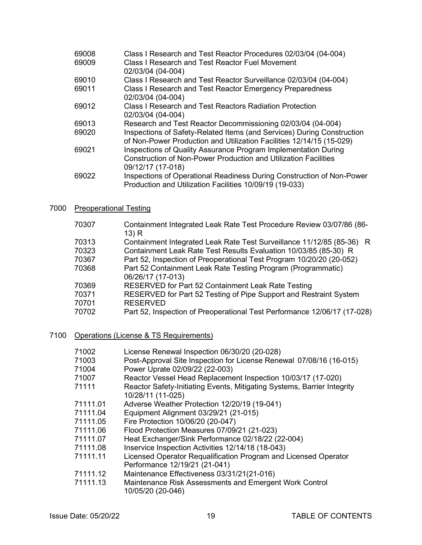| 69008<br>69009 | Class I Research and Test Reactor Procedures 02/03/04 (04-004)<br><b>Class I Research and Test Reactor Fuel Movement</b><br>02/03/04 (04-004)                 |
|----------------|---------------------------------------------------------------------------------------------------------------------------------------------------------------|
| 69010          | Class I Research and Test Reactor Surveillance 02/03/04 (04-004)                                                                                              |
| 69011          | Class I Research and Test Reactor Emergency Preparedness<br>02/03/04 (04-004)                                                                                 |
| 69012          | Class I Research and Test Reactors Radiation Protection<br>02/03/04 (04-004)                                                                                  |
| 69013          | Research and Test Reactor Decommissioning 02/03/04 (04-004)                                                                                                   |
| 69020          | Inspections of Safety-Related Items (and Services) During Construction<br>of Non-Power Production and Utilization Facilities 12/14/15 (15-029)                |
| 69021          | Inspections of Quality Assurance Program Implementation During<br><b>Construction of Non-Power Production and Utilization Facilities</b><br>09/12/17 (17-018) |
| 69022          | Inspections of Operational Readiness During Construction of Non-Power<br>Production and Utilization Facilities 10/09/19 (19-033)                              |

### 7000 Preoperational Testing

| Containment Integrated Leak Rate Test Surveillance 11/12/85 (85-36) R<br>70313<br>Containment Leak Rate Test Results Evaluation 10/03/85 (85-30) R<br>70323<br>Part 52, Inspection of Preoperational Test Program 10/20/20 (20-052)<br>70367<br>Part 52 Containment Leak Rate Testing Program (Programmatic)<br>70368<br>06/26/17 (17-013)<br>70369<br>RESERVED for Part 52 Containment Leak Rate Testing<br>RESERVED for Part 52 Testing of Pipe Support and Restraint System<br>70371<br><b>RESERVED</b><br>70701 | 70307 | Containment Integrated Leak Rate Test Procedure Review 03/07/86 (86-<br>13) R |
|---------------------------------------------------------------------------------------------------------------------------------------------------------------------------------------------------------------------------------------------------------------------------------------------------------------------------------------------------------------------------------------------------------------------------------------------------------------------------------------------------------------------|-------|-------------------------------------------------------------------------------|
|                                                                                                                                                                                                                                                                                                                                                                                                                                                                                                                     |       |                                                                               |
|                                                                                                                                                                                                                                                                                                                                                                                                                                                                                                                     |       |                                                                               |
|                                                                                                                                                                                                                                                                                                                                                                                                                                                                                                                     |       |                                                                               |
|                                                                                                                                                                                                                                                                                                                                                                                                                                                                                                                     |       |                                                                               |
|                                                                                                                                                                                                                                                                                                                                                                                                                                                                                                                     |       |                                                                               |
|                                                                                                                                                                                                                                                                                                                                                                                                                                                                                                                     |       |                                                                               |
|                                                                                                                                                                                                                                                                                                                                                                                                                                                                                                                     |       |                                                                               |
|                                                                                                                                                                                                                                                                                                                                                                                                                                                                                                                     | 70702 | Part 52, Inspection of Preoperational Test Performance 12/06/17 (17-028)      |

# 7100 Operations (License & TS Requirements)

| 71002    | License Renewal Inspection 06/30/20 (20-028)                                                     |
|----------|--------------------------------------------------------------------------------------------------|
| 71003    | Post-Approval Site Inspection for License Renewal 07/08/16 (16-015)                              |
| 71004    | Power Uprate 02/09/22 (22-003)                                                                   |
| 71007    | Reactor Vessel Head Replacement Inspection 10/03/17 (17-020)                                     |
| 71111    | Reactor Safety-Initiating Events, Mitigating Systems, Barrier Integrity<br>10/28/11 (11-025)     |
| 71111.01 | Adverse Weather Protection 12/20/19 (19-041)                                                     |
| 71111.04 | Equipment Alignment 03/29/21 (21-015)                                                            |
| 71111.05 | Fire Protection 10/06/20 (20-047)                                                                |
| 71111.06 | Flood Protection Measures 07/09/21 (21-023)                                                      |
| 71111.07 | Heat Exchanger/Sink Performance 02/18/22 (22-004)                                                |
| 71111.08 | Inservice Inspection Activities 12/14/18 (18-043)                                                |
| 71111.11 | Licensed Operator Requalification Program and Licensed Operator<br>Performance 12/19/21 (21-041) |
| 71111.12 | Maintenance Effectiveness 03/31/21(21-016)                                                       |
| 71111.13 | Maintenance Risk Assessments and Emergent Work Control<br>10/05/20 (20-046)                      |
|          |                                                                                                  |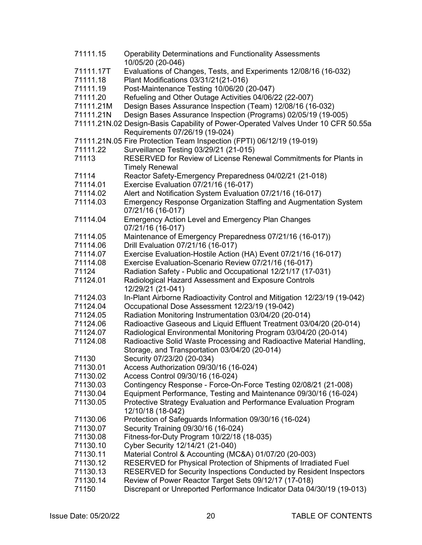| 71111.15  | <b>Operability Determinations and Functionality Assessments</b><br>10/05/20 (20-046)  |
|-----------|---------------------------------------------------------------------------------------|
| 71111.17T | Evaluations of Changes, Tests, and Experiments 12/08/16 (16-032)                      |
| 71111.18  | Plant Modifications 03/31/21(21-016)                                                  |
| 71111.19  | Post-Maintenance Testing 10/06/20 (20-047)                                            |
| 71111.20  | Refueling and Other Outage Activities 04/06/22 (22-007)                               |
| 71111.21M | Design Bases Assurance Inspection (Team) 12/08/16 (16-032)                            |
| 71111.21N | Design Bases Assurance Inspection (Programs) 02/05/19 (19-005)                        |
|           |                                                                                       |
|           | 71111.21N.02 Design-Basis Capability of Power-Operated Valves Under 10 CFR 50.55a     |
|           | Requirements 07/26/19 (19-024)                                                        |
|           | 71111.21N.05 Fire Protection Team Inspection (FPTI) 06/12/19 (19-019)                 |
| 71111.22  | Surveillance Testing 03/29/21 (21-015)                                                |
| 71113     | RESERVED for Review of License Renewal Commitments for Plants in                      |
|           | <b>Timely Renewal</b>                                                                 |
| 71114     | Reactor Safety-Emergency Preparedness 04/02/21 (21-018)                               |
| 71114.01  | Exercise Evaluation 07/21/16 (16-017)                                                 |
| 71114.02  | Alert and Notification System Evaluation 07/21/16 (16-017)                            |
| 71114.03  | Emergency Response Organization Staffing and Augmentation System<br>07/21/16 (16-017) |
| 71114.04  | <b>Emergency Action Level and Emergency Plan Changes</b>                              |
|           | 07/21/16 (16-017)                                                                     |
| 71114.05  | Maintenance of Emergency Preparedness 07/21/16 (16-017))                              |
| 71114.06  | Drill Evaluation 07/21/16 (16-017)                                                    |
| 71114.07  | Exercise Evaluation-Hostile Action (HA) Event 07/21/16 (16-017)                       |
| 71114.08  | Exercise Evaluation-Scenario Review 07/21/16 (16-017)                                 |
| 71124     | Radiation Safety - Public and Occupational 12/21/17 (17-031)                          |
| 71124.01  | Radiological Hazard Assessment and Exposure Controls                                  |
|           | 12/29/21 (21-041)                                                                     |
| 71124.03  | In-Plant Airborne Radioactivity Control and Mitigation 12/23/19 (19-042)              |
| 71124.04  | Occupational Dose Assessment 12/23/19 (19-042)                                        |
| 71124.05  | Radiation Monitoring Instrumentation 03/04/20 (20-014)                                |
| 71124.06  | Radioactive Gaseous and Liquid Effluent Treatment 03/04/20 (20-014)                   |
| 71124.07  | Radiological Environmental Monitoring Program 03/04/20 (20-014)                       |
| 71124.08  | Radioactive Solid Waste Processing and Radioactive Material Handling,                 |
|           | Storage, and Transportation 03/04/20 (20-014)                                         |
| 71130     | Security 07/23/20 (20-034)                                                            |
| 71130.01  | Access Authorization 09/30/16 (16-024)                                                |
| 71130.02  | Access Control 09/30/16 (16-024)                                                      |
| 71130.03  | Contingency Response - Force-On-Force Testing 02/08/21 (21-008)                       |
| 71130.04  | Equipment Performance, Testing and Maintenance 09/30/16 (16-024)                      |
| 71130.05  | Protective Strategy Evaluation and Performance Evaluation Program                     |
|           | 12/10/18 (18-042)                                                                     |
| 71130.06  | Protection of Safeguards Information 09/30/16 (16-024)                                |
| 71130.07  |                                                                                       |
|           | Security Training 09/30/16 (16-024)                                                   |
| 71130.08  | Fitness-for-Duty Program 10/22/18 (18-035)                                            |
| 71130.10  | Cyber Security 12/14/21 (21-040)                                                      |
| 71130.11  | Material Control & Accounting (MC&A) 01/07/20 (20-003)                                |
| 71130.12  | RESERVED for Physical Protection of Shipments of Irradiated Fuel                      |
| 71130.13  | RESERVED for Security Inspections Conducted by Resident Inspectors                    |
| 71130.14  | Review of Power Reactor Target Sets 09/12/17 (17-018)                                 |
| 71150     | Discrepant or Unreported Performance Indicator Data 04/30/19 (19-013)                 |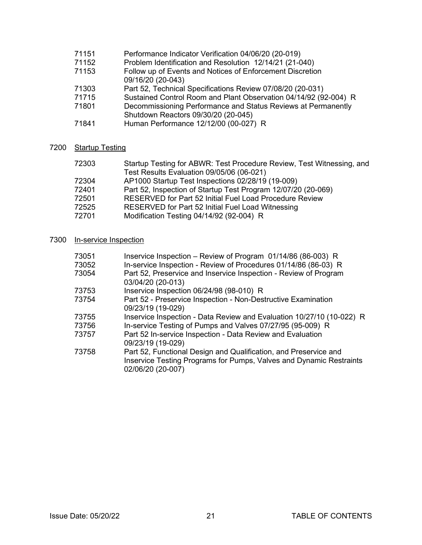# 71151 Performance Indicator Verification 04/06/20 (20-019)<br>71152 Problem Identification and Resolution 12/14/21 (21-0

- Problem Identification and Resolution 12/14/21 (21-040)
- 71153 Follow up of Events and Notices of Enforcement Discretion
- 09/16/20 (20-043)<br>71303 Part 52. Technical 71303 Part 52, Technical Specifications Review 07/08/20 (20-031)
- 
- 71715 Sustained Control Room and Plant Observation 04/14/92 (92-004) R<br>71801 Decommissioning Performance and Status Reviews at Permanently Decommissioning Performance and Status Reviews at Permanently
- Shutdown Reactors 09/30/20 (20-045)
- 71841 Human Performance 12/12/00 (00-027) R

### 7200 Startup Testing

| 72303 | Startup Testing for ABWR: Test Procedure Review, Test Witnessing, and |
|-------|-----------------------------------------------------------------------|
|       | Test Results Evaluation 09/05/06 (06-021)                             |
| 72304 | AP1000 Startup Test Inspections 02/28/19 (19-009)                     |
| 72401 | Part 52, Inspection of Startup Test Program 12/07/20 (20-069)         |
| 72501 | <b>RESERVED for Part 52 Initial Fuel Load Procedure Review</b>        |
| 72525 | <b>RESERVED for Part 52 Initial Fuel Load Witnessing</b>              |
| 72701 | Modification Testing 04/14/92 (92-004) R                              |

### 7300 In-service Inspection

| 73051 | Inservice Inspection – Review of Program 01/14/86 (86-003) R                                                                                                 |
|-------|--------------------------------------------------------------------------------------------------------------------------------------------------------------|
| 73052 | In-service Inspection - Review of Procedures 01/14/86 (86-03) R                                                                                              |
| 73054 | Part 52, Preservice and Inservice Inspection - Review of Program<br>03/04/20 (20-013)                                                                        |
| 73753 | Inservice Inspection 06/24/98 (98-010) R                                                                                                                     |
| 73754 | Part 52 - Preservice Inspection - Non-Destructive Examination<br>09/23/19 (19-029)                                                                           |
| 73755 | Inservice Inspection - Data Review and Evaluation 10/27/10 (10-022) R                                                                                        |
| 73756 | In-service Testing of Pumps and Valves 07/27/95 (95-009) R                                                                                                   |
| 73757 | Part 52 In-service Inspection - Data Review and Evaluation<br>09/23/19 (19-029)                                                                              |
| 73758 | Part 52, Functional Design and Qualification, and Preservice and<br>Inservice Testing Programs for Pumps, Valves and Dynamic Restraints<br>02/06/20 (20-007) |
|       |                                                                                                                                                              |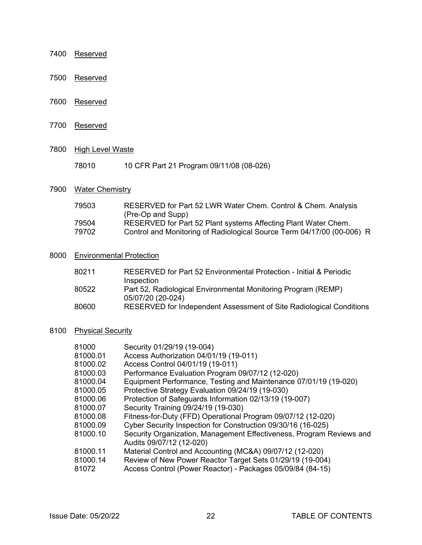- 7400 Reserved
- 7500 Reserved
- 7600 Reserved
- 7700 Reserved
- 7800 High Level Waste
	- 78010 10 CFR Part 21 Program 09/11/08 (08-026)

### 7900 Water Chemistry

| RESERVED for Part 52 LWR Water Chem. Control & Chem. Analysis<br>79503<br>(Pre-Op and Supp) |  |
|---------------------------------------------------------------------------------------------|--|
| 79504<br>RESERVED for Part 52 Plant systems Affecting Plant Water Chem.                     |  |
| Control and Monitoring of Radiological Source Term 04/17/00 (00-006) R<br>79702             |  |

# 8000 Environmental Protection

| 80211 | RESERVED for Part 52 Environmental Protection - Initial & Periodic  |
|-------|---------------------------------------------------------------------|
|       | Inspection                                                          |
| 80522 | Part 52, Radiological Environmental Monitoring Program (REMP)       |
|       | 05/07/20 (20-024)                                                   |
| 80600 | RESERVED for Independent Assessment of Site Radiological Conditions |

# 8100 Physical Security

| 81000    | Security 01/29/19 (19-004)                                                                       |
|----------|--------------------------------------------------------------------------------------------------|
| 81000.01 | Access Authorization 04/01/19 (19-011)                                                           |
| 81000.02 | Access Control 04/01/19 (19-011)                                                                 |
| 81000.03 | Performance Evaluation Program 09/07/12 (12-020)                                                 |
| 81000.04 | Equipment Performance, Testing and Maintenance 07/01/19 (19-020)                                 |
| 81000.05 | Protective Strategy Evaluation 09/24/19 (19-030)                                                 |
| 81000.06 | Protection of Safeguards Information 02/13/19 (19-007)                                           |
| 81000.07 | Security Training 09/24/19 (19-030)                                                              |
| 81000.08 | Fitness-for-Duty (FFD) Operational Program 09/07/12 (12-020)                                     |
| 81000.09 | Cyber Security Inspection for Construction 09/30/16 (16-025)                                     |
| 81000.10 | Security Organization, Management Effectiveness, Program Reviews and<br>Audits 09/07/12 (12-020) |
| 81000.11 | Material Control and Accounting (MC&A) 09/07/12 (12-020)                                         |
| 81000.14 | Review of New Power Reactor Target Sets 01/29/19 (19-004)                                        |
| 81072    | Access Control (Power Reactor) - Packages 05/09/84 (84-15)                                       |
|          |                                                                                                  |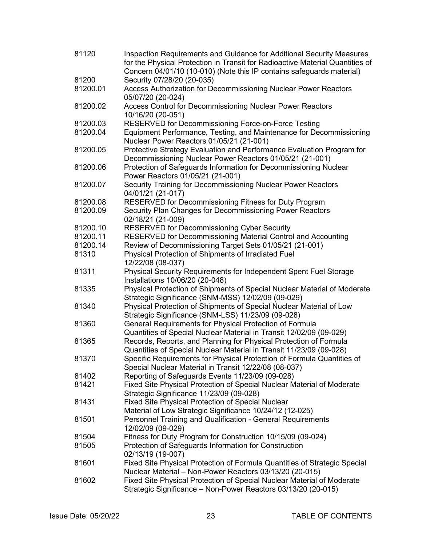| 81120    | Inspection Requirements and Guidance for Additional Security Measures<br>for the Physical Protection in Transit for Radioactive Material Quantities of<br>Concern 04/01/10 (10-010) (Note this IP contains safeguards material) |
|----------|---------------------------------------------------------------------------------------------------------------------------------------------------------------------------------------------------------------------------------|
| 81200    | Security 07/28/20 (20-035)                                                                                                                                                                                                      |
| 81200.01 | Access Authorization for Decommissioning Nuclear Power Reactors<br>05/07/20 (20-024)                                                                                                                                            |
| 81200.02 | Access Control for Decommissioning Nuclear Power Reactors<br>10/16/20 (20-051)                                                                                                                                                  |
| 81200.03 | RESERVED for Decommissioning Force-on-Force Testing                                                                                                                                                                             |
| 81200.04 | Equipment Performance, Testing, and Maintenance for Decommissioning<br>Nuclear Power Reactors 01/05/21 (21-001)                                                                                                                 |
| 81200.05 | Protective Strategy Evaluation and Performance Evaluation Program for<br>Decommissioning Nuclear Power Reactors 01/05/21 (21-001)                                                                                               |
| 81200.06 | Protection of Safeguards Information for Decommissioning Nuclear<br>Power Reactors 01/05/21 (21-001)                                                                                                                            |
| 81200.07 | Security Training for Decommissioning Nuclear Power Reactors<br>04/01/21 (21-017)                                                                                                                                               |
| 81200.08 | RESERVED for Decommissioning Fitness for Duty Program                                                                                                                                                                           |
| 81200.09 | Security Plan Changes for Decommissioning Power Reactors<br>02/18/21 (21-009)                                                                                                                                                   |
| 81200.10 | <b>RESERVED for Decommissioning Cyber Security</b>                                                                                                                                                                              |
| 81200.11 | RESERVED for Decommissioning Material Control and Accounting                                                                                                                                                                    |
| 81200.14 | Review of Decommissioning Target Sets 01/05/21 (21-001)                                                                                                                                                                         |
| 81310    | Physical Protection of Shipments of Irradiated Fuel<br>12/22/08 (08-037)                                                                                                                                                        |
| 81311    | Physical Security Requirements for Independent Spent Fuel Storage<br>Installations 10/06/20 (20-048)                                                                                                                            |
| 81335    | Physical Protection of Shipments of Special Nuclear Material of Moderate<br>Strategic Significance (SNM-MSS) 12/02/09 (09-029)                                                                                                  |
| 81340    | Physical Protection of Shipments of Special Nuclear Material of Low<br>Strategic Significance (SNM-LSS) 11/23/09 (09-028)                                                                                                       |
| 81360    | General Requirements for Physical Protection of Formula<br>Quantities of Special Nuclear Material in Transit 12/02/09 (09-029)                                                                                                  |
| 81365    | Records, Reports, and Planning for Physical Protection of Formula<br>Quantities of Special Nuclear Material in Transit 11/23/09 (09-028)                                                                                        |
| 81370    | Specific Requirements for Physical Protection of Formula Quantities of<br>Special Nuclear Material in Transit 12/22/08 (08-037)                                                                                                 |
| 81402    | Reporting of Safeguards Events 11/23/09 (09-028)                                                                                                                                                                                |
| 81421    | Fixed Site Physical Protection of Special Nuclear Material of Moderate<br>Strategic Significance 11/23/09 (09-028)                                                                                                              |
| 81431    | Fixed Site Physical Protection of Special Nuclear<br>Material of Low Strategic Significance 10/24/12 (12-025)                                                                                                                   |
| 81501    | Personnel Training and Qualification - General Requirements<br>12/02/09 (09-029)                                                                                                                                                |
| 81504    | Fitness for Duty Program for Construction 10/15/09 (09-024)                                                                                                                                                                     |
| 81505    | Protection of Safeguards Information for Construction<br>02/13/19 (19-007)                                                                                                                                                      |
| 81601    | Fixed Site Physical Protection of Formula Quantities of Strategic Special<br>Nuclear Material - Non-Power Reactors 03/13/20 (20-015)                                                                                            |
| 81602    | Fixed Site Physical Protection of Special Nuclear Material of Moderate<br>Strategic Significance - Non-Power Reactors 03/13/20 (20-015)                                                                                         |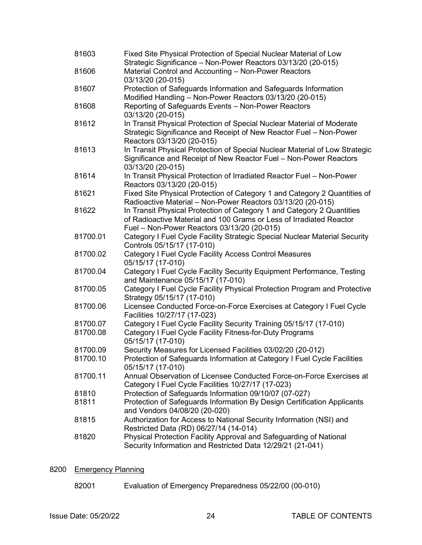| 81603    | Fixed Site Physical Protection of Special Nuclear Material of Low<br>Strategic Significance - Non-Power Reactors 03/13/20 (20-015)               |
|----------|--------------------------------------------------------------------------------------------------------------------------------------------------|
| 81606    | Material Control and Accounting - Non-Power Reactors                                                                                             |
|          | 03/13/20 (20-015)                                                                                                                                |
| 81607    | Protection of Safeguards Information and Safeguards Information<br>Modified Handling - Non-Power Reactors 03/13/20 (20-015)                      |
| 81608    | Reporting of Safeguards Events - Non-Power Reactors                                                                                              |
|          | 03/13/20 (20-015)                                                                                                                                |
| 81612    | In Transit Physical Protection of Special Nuclear Material of Moderate<br>Strategic Significance and Receipt of New Reactor Fuel - Non-Power     |
|          | Reactors 03/13/20 (20-015)                                                                                                                       |
| 81613    | In Transit Physical Protection of Special Nuclear Material of Low Strategic<br>Significance and Receipt of New Reactor Fuel - Non-Power Reactors |
|          | 03/13/20 (20-015)                                                                                                                                |
| 81614    | In Transit Physical Protection of Irradiated Reactor Fuel - Non-Power<br>Reactors 03/13/20 (20-015)                                              |
| 81621    | Fixed Site Physical Protection of Category 1 and Category 2 Quantities of<br>Radioactive Material - Non-Power Reactors 03/13/20 (20-015)         |
| 81622    | In Transit Physical Protection of Category 1 and Category 2 Quantities                                                                           |
|          | of Radioactive Material and 100 Grams or Less of Irradiated Reactor                                                                              |
|          | Fuel - Non-Power Reactors 03/13/20 (20-015)                                                                                                      |
| 81700.01 | Category I Fuel Cycle Facility Strategic Special Nuclear Material Security<br>Controls 05/15/17 (17-010)                                         |
| 81700.02 | Category I Fuel Cycle Facility Access Control Measures<br>05/15/17 (17-010)                                                                      |
| 81700.04 | Category I Fuel Cycle Facility Security Equipment Performance, Testing<br>and Maintenance 05/15/17 (17-010)                                      |
| 81700.05 | Category I Fuel Cycle Facility Physical Protection Program and Protective<br>Strategy 05/15/17 (17-010)                                          |
| 81700.06 | Licensee Conducted Force-on-Force Exercises at Category I Fuel Cycle<br>Facilities 10/27/17 (17-023)                                             |
| 81700.07 | Category I Fuel Cycle Facility Security Training 05/15/17 (17-010)                                                                               |
| 81700.08 | Category I Fuel Cycle Facility Fitness-for-Duty Programs                                                                                         |
|          | 05/15/17 (17-010)                                                                                                                                |
| 81700.09 | Security Measures for Licensed Facilities 03/02/20 (20-012)                                                                                      |
| 81700.10 | Protection of Safeguards Information at Category I Fuel Cycle Facilities<br>05/15/17 (17-010)                                                    |
| 81700.11 | Annual Observation of Licensee Conducted Force-on-Force Exercises at<br>Category I Fuel Cycle Facilities 10/27/17 (17-023)                       |
| 81810    | Protection of Safeguards Information 09/10/07 (07-027)                                                                                           |
| 81811    | Protection of Safeguards Information By Design Certification Applicants                                                                          |
|          | and Vendors 04/08/20 (20-020)                                                                                                                    |
| 81815    | Authorization for Access to National Security Information (NSI) and                                                                              |
|          | Restricted Data (RD) 06/27/14 (14-014)                                                                                                           |
| 81820    | Physical Protection Facility Approval and Safeguarding of National                                                                               |
|          | Security Information and Restricted Data 12/29/21 (21-041)                                                                                       |
|          |                                                                                                                                                  |

# 8200 Emergency Planning

82001 Evaluation of Emergency Preparedness 05/22/00 (00-010)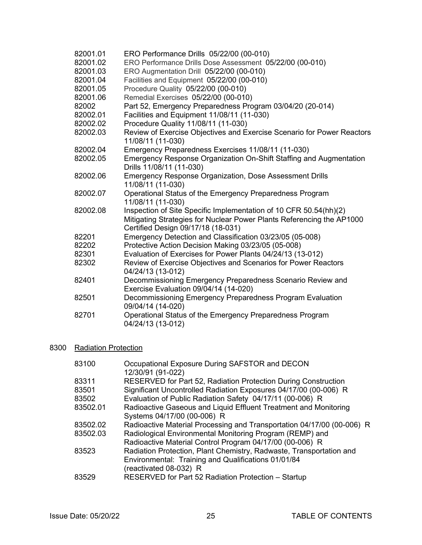82001.01 ERO Performance Drills 05/22/00 (00-010) 82001.02 ERO Performance Drills Dose Assessment 05/22/00 (00-010) 82001.03 ERO Augmentation Drill 05/22/00 (00-010) 82001.04 Facilities and Equipment 05/22/00 (00-010) 82001.05 Procedure Quality 05/22/00 (00-010) 82001.06 Remedial Exercises 05/22/00 (00-010) 82002 Part 52, Emergency Preparedness Program 03/04/20 (20-014) 82002.01 Facilities and Equipment 11/08/11 (11-030) 82002.02 Procedure Quality 11/08/11 (11-030) 82002.03 Review of Exercise Objectives and Exercise Scenario for Power Reactors 11/08/11 (11-030) 82002.04 Emergency Preparedness Exercises 11/08/11 (11-030) 82002.05 Emergency Response Organization On-Shift Staffing and Augmentation Drills 11/08/11 (11-030) 82002.06 Emergency Response Organization, Dose Assessment Drills 11/08/11 (11-030) 82002.07 Operational Status of the Emergency Preparedness Program 11/08/11 (11-030) 82002.08 Inspection of Site Specific Implementation of 10 CFR 50.54(hh)(2) Mitigating Strategies for Nuclear Power Plants Referencing the AP1000 Certified Design 09/17/18 (18-031) 82201 Emergency Detection and Classification 03/23/05 (05-008) 82202 Protective Action Decision Making 03/23/05 (05-008) 82301 Evaluation of Exercises for Power Plants 04/24/13 (13-012)<br>82302 Review of Exercise Obiectives and Scenarios for Power Rea Review of Exercise Objectives and Scenarios for Power Reactors 04/24/13 (13-012) 82401 Decommissioning Emergency Preparedness Scenario Review and Exercise Evaluation 09/04/14 (14-020) 82501 Decommissioning Emergency Preparedness Program Evaluation 09/04/14 (14-020) 82701 Operational Status of the Emergency Preparedness Program 04/24/13 (13-012)

### 8300 Radiation Protection

| 83100    | Occupational Exposure During SAFSTOR and DECON                         |
|----------|------------------------------------------------------------------------|
|          | 12/30/91 (91-022)                                                      |
| 83311    | RESERVED for Part 52, Radiation Protection During Construction         |
| 83501    | Significant Uncontrolled Radiation Exposures 04/17/00 (00-006) R       |
| 83502    | Evaluation of Public Radiation Safety 04/17/11 (00-006) R              |
| 83502.01 | Radioactive Gaseous and Liquid Effluent Treatment and Monitoring       |
|          | Systems 04/17/00 (00-006) R                                            |
| 83502.02 | Radioactive Material Processing and Transportation 04/17/00 (00-006) R |
| 83502.03 | Radiological Environmental Monitoring Program (REMP) and               |
|          | Radioactive Material Control Program 04/17/00 (00-006) R               |
| 83523    | Radiation Protection, Plant Chemistry, Radwaste, Transportation and    |
|          | Environmental: Training and Qualifications 01/01/84                    |
|          | (reactivated 08-032) R                                                 |
| 83529    | RESERVED for Part 52 Radiation Protection - Startup                    |
|          |                                                                        |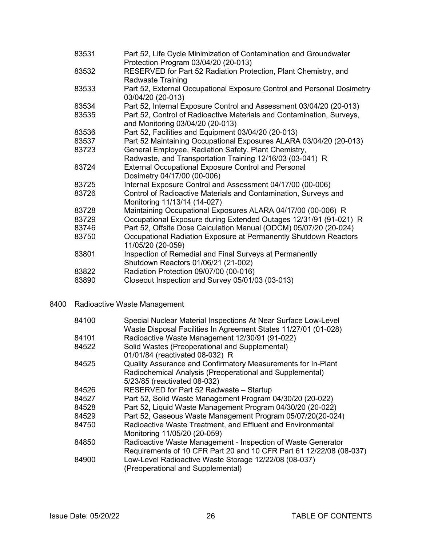| 83531 | Part 52, Life Cycle Minimization of Contamination and Groundwater<br>Protection Program 03/04/20 (20-013) |
|-------|-----------------------------------------------------------------------------------------------------------|
| 83532 | RESERVED for Part 52 Radiation Protection, Plant Chemistry, and                                           |
| 83533 | <b>Radwaste Training</b><br>Part 52, External Occupational Exposure Control and Personal Dosimetry        |
|       | 03/04/20 (20-013)                                                                                         |
| 83534 | Part 52, Internal Exposure Control and Assessment 03/04/20 (20-013)                                       |
| 83535 | Part 52, Control of Radioactive Materials and Contamination, Surveys,<br>and Monitoring 03/04/20 (20-013) |
| 83536 | Part 52, Facilities and Equipment 03/04/20 (20-013)                                                       |
| 83537 | Part 52 Maintaining Occupational Exposures ALARA 03/04/20 (20-013)                                        |
| 83723 | General Employee, Radiation Safety, Plant Chemistry,                                                      |
|       | Radwaste, and Transportation Training 12/16/03 (03-041) R                                                 |
| 83724 | <b>External Occupational Exposure Control and Personal</b>                                                |
|       | Dosimetry 04/17/00 (00-006)                                                                               |
| 83725 | Internal Exposure Control and Assessment 04/17/00 (00-006)                                                |
| 83726 | Control of Radioactive Materials and Contamination, Surveys and<br>Monitoring 11/13/14 (14-027)           |
| 83728 | Maintaining Occupational Exposures ALARA 04/17/00 (00-006) R                                              |
| 83729 | Occupational Exposure during Extended Outages 12/31/91 (91-021) R                                         |
| 83746 | Part 52, Offsite Dose Calculation Manual (ODCM) 05/07/20 (20-024)                                         |
| 83750 | Occupational Radiation Exposure at Permanently Shutdown Reactors<br>11/05/20 (20-059)                     |
| 83801 | Inspection of Remedial and Final Surveys at Permanently<br>Shutdown Reactors 01/06/21 (21-002)            |
| 83822 | Radiation Protection 09/07/00 (00-016)                                                                    |
| 83890 | Closeout Inspection and Survey 05/01/03 (03-013)                                                          |
|       |                                                                                                           |

# 8400 Radioactive Waste Management

| 84100 | Special Nuclear Material Inspections At Near Surface Low-Level<br>Waste Disposal Facilities In Agreement States 11/27/01 (01-028) |
|-------|-----------------------------------------------------------------------------------------------------------------------------------|
| 84101 | Radioactive Waste Management 12/30/91 (91-022)                                                                                    |
| 84522 | Solid Wastes (Preoperational and Supplemental)                                                                                    |
|       | 01/01/84 (reactivated 08-032) R                                                                                                   |
| 84525 | Quality Assurance and Confirmatory Measurements for In-Plant                                                                      |
|       | Radiochemical Analysis (Preoperational and Supplemental)                                                                          |
|       | 5/23/85 (reactivated 08-032)                                                                                                      |
| 84526 | RESERVED for Part 52 Radwaste - Startup                                                                                           |
| 84527 | Part 52, Solid Waste Management Program 04/30/20 (20-022)                                                                         |
| 84528 | Part 52, Liquid Waste Management Program 04/30/20 (20-022)                                                                        |
| 84529 | Part 52, Gaseous Waste Management Program 05/07/20(20-024)                                                                        |
| 84750 | Radioactive Waste Treatment, and Effluent and Environmental                                                                       |
|       | Monitoring 11/05/20 (20-059)                                                                                                      |
| 84850 | Radioactive Waste Management - Inspection of Waste Generator                                                                      |
|       | Requirements of 10 CFR Part 20 and 10 CFR Part 61 12/22/08 (08-037)                                                               |
| 84900 | Low-Level Radioactive Waste Storage 12/22/08 (08-037)<br>(Preoperational and Supplemental)                                        |
|       |                                                                                                                                   |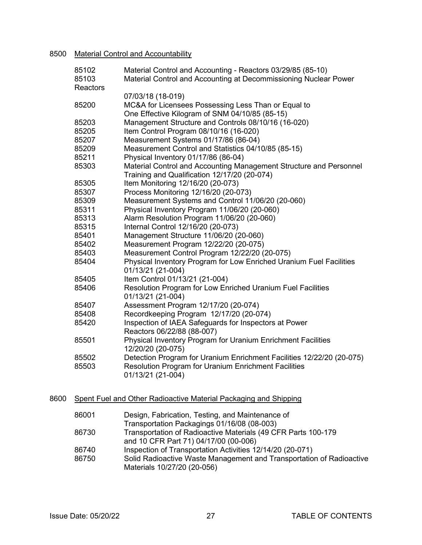### 8500 Material Control and Accountability

|      | 85102<br>85103<br>Reactors | Material Control and Accounting - Reactors 03/29/85 (85-10)<br>Material Control and Accounting at Decommissioning Nuclear Power |
|------|----------------------------|---------------------------------------------------------------------------------------------------------------------------------|
|      |                            | 07/03/18 (18-019)                                                                                                               |
|      | 85200                      | MC&A for Licensees Possessing Less Than or Equal to<br>One Effective Kilogram of SNM 04/10/85 (85-15)                           |
|      | 85203                      | Management Structure and Controls 08/10/16 (16-020)                                                                             |
|      | 85205                      | Item Control Program 08/10/16 (16-020)                                                                                          |
|      | 85207                      | Measurement Systems 01/17/86 (86-04)                                                                                            |
|      | 85209                      | Measurement Control and Statistics 04/10/85 (85-15)                                                                             |
|      | 85211                      | Physical Inventory 01/17/86 (86-04)                                                                                             |
|      | 85303                      | Material Control and Accounting Management Structure and Personnel<br>Training and Qualification 12/17/20 (20-074)              |
|      | 85305                      | Item Monitoring 12/16/20 (20-073)                                                                                               |
|      | 85307                      | Process Monitoring 12/16/20 (20-073)                                                                                            |
|      | 85309                      | Measurement Systems and Control 11/06/20 (20-060)                                                                               |
|      | 85311                      | Physical Inventory Program 11/06/20 (20-060)                                                                                    |
|      | 85313                      | Alarm Resolution Program 11/06/20 (20-060)                                                                                      |
|      | 85315                      | Internal Control 12/16/20 (20-073)                                                                                              |
|      | 85401                      | Management Structure 11/06/20 (20-060)                                                                                          |
|      | 85402                      | Measurement Program 12/22/20 (20-075)                                                                                           |
|      | 85403                      | Measurement Control Program 12/22/20 (20-075)                                                                                   |
|      | 85404                      | Physical Inventory Program for Low Enriched Uranium Fuel Facilities<br>01/13/21 (21-004)                                        |
|      | 85405                      | Item Control 01/13/21 (21-004)                                                                                                  |
|      | 85406                      | Resolution Program for Low Enriched Uranium Fuel Facilities<br>01/13/21 (21-004)                                                |
|      | 85407                      | Assessment Program 12/17/20 (20-074)                                                                                            |
|      | 85408                      | Recordkeeping Program 12/17/20 (20-074)                                                                                         |
|      | 85420                      | Inspection of IAEA Safeguards for Inspectors at Power<br>Reactors 06/22/88 (88-007)                                             |
|      | 85501                      | Physical Inventory Program for Uranium Enrichment Facilities<br>12/20/20 (20-075)                                               |
|      | 85502                      | Detection Program for Uranium Enrichment Facilities 12/22/20 (20-075)                                                           |
|      | 85503                      | Resolution Program for Uranium Enrichment Facilities                                                                            |
|      |                            | 01/13/21 (21-004)                                                                                                               |
| 8600 |                            | Spent Fuel and Other Radioactive Material Packaging and Shipping                                                                |
|      |                            |                                                                                                                                 |
|      | 86001                      | Design, Fabrication, Testing, and Maintenance of                                                                                |

- Transportation Packagings 01/16/08 (08-003) 86730 Transportation of Radioactive Materials (49 CFR Parts 100-179 and 10 CFR Part 71) 04/17/00 (00-006)
	- 86740 Inspection of Transportation Activities 12/14/20 (20-071)<br>86750 Solid Radioactive Waste Management and Transportation Solid Radioactive Waste Management and Transportation of Radioactive Materials 10/27/20 (20-056)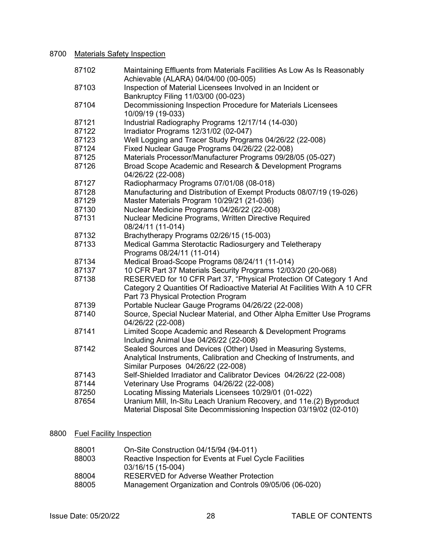# 8700 Materials Safety Inspection

| 87102 | Maintaining Effluents from Materials Facilities As Low As Is Reasonably<br>Achievable (ALARA) 04/04/00 (00-005)                                                                         |
|-------|-----------------------------------------------------------------------------------------------------------------------------------------------------------------------------------------|
| 87103 | Inspection of Material Licensees Involved in an Incident or<br>Bankruptcy Filing 11/03/00 (00-023)                                                                                      |
| 87104 | Decommissioning Inspection Procedure for Materials Licensees<br>10/09/19 (19-033)                                                                                                       |
| 87121 | Industrial Radiography Programs 12/17/14 (14-030)                                                                                                                                       |
| 87122 | Irradiator Programs 12/31/02 (02-047)                                                                                                                                                   |
| 87123 | Well Logging and Tracer Study Programs 04/26/22 (22-008)                                                                                                                                |
| 87124 | Fixed Nuclear Gauge Programs 04/26/22 (22-008)                                                                                                                                          |
| 87125 | Materials Processor/Manufacturer Programs 09/28/05 (05-027)                                                                                                                             |
| 87126 | Broad Scope Academic and Research & Development Programs<br>04/26/22 (22-008)                                                                                                           |
| 87127 | Radiopharmacy Programs 07/01/08 (08-018)                                                                                                                                                |
| 87128 | Manufacturing and Distribution of Exempt Products 08/07/19 (19-026)                                                                                                                     |
| 87129 | Master Materials Program 10/29/21 (21-036)                                                                                                                                              |
| 87130 | Nuclear Medicine Programs 04/26/22 (22-008)                                                                                                                                             |
| 87131 | Nuclear Medicine Programs, Written Directive Required<br>08/24/11 (11-014)                                                                                                              |
| 87132 | Brachytherapy Programs 02/26/15 (15-003)                                                                                                                                                |
| 87133 | Medical Gamma Sterotactic Radiosurgery and Teletherapy<br>Programs 08/24/11 (11-014)                                                                                                    |
| 87134 | Medical Broad-Scope Programs 08/24/11 (11-014)                                                                                                                                          |
| 87137 | 10 CFR Part 37 Materials Security Programs 12/03/20 (20-068)                                                                                                                            |
| 87138 | RESERVED for 10 CFR Part 37, "Physical Protection Of Category 1 And<br>Category 2 Quantities Of Radioactive Material At Facilities With A 10 CFR<br>Part 73 Physical Protection Program |
| 87139 | Portable Nuclear Gauge Programs 04/26/22 (22-008)                                                                                                                                       |
| 87140 | Source, Special Nuclear Material, and Other Alpha Emitter Use Programs<br>04/26/22 (22-008)                                                                                             |
| 87141 | Limited Scope Academic and Research & Development Programs<br>Including Animal Use 04/26/22 (22-008)                                                                                    |
| 87142 | Sealed Sources and Devices (Other) Used in Measuring Systems,<br>Analytical Instruments, Calibration and Checking of Instruments, and<br>Similar Purposes 04/26/22 (22-008)             |
| 87143 | Self-Shielded Irradiator and Calibrator Devices 04/26/22 (22-008)                                                                                                                       |
| 87144 | Veterinary Use Programs 04/26/22 (22-008)                                                                                                                                               |
| 87250 | Locating Missing Materials Licensees 10/29/01 (01-022)                                                                                                                                  |
| 87654 | Uranium Mill, In-Situ Leach Uranium Recovery, and 11e.(2) Byproduct<br>Material Disposal Site Decommissioning Inspection 03/19/02 (02-010)                                              |

# 8800 Fuel Facility Inspection

| 88001 | On-Site Construction 04/15/94 (94-011)                  |
|-------|---------------------------------------------------------|
| 88003 | Reactive Inspection for Events at Fuel Cycle Facilities |
|       | 03/16/15 (15-004)                                       |
| 88004 | <b>RESERVED for Adverse Weather Protection</b>          |
| 88005 | Management Organization and Controls 09/05/06 (06-020)  |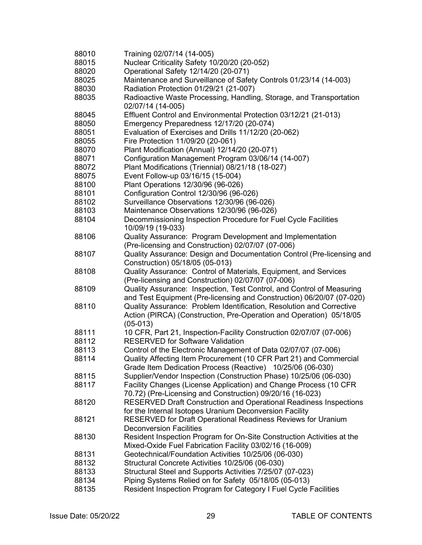| 88010 | Training 02/07/14 (14-005)                                                          |
|-------|-------------------------------------------------------------------------------------|
| 88015 | Nuclear Criticality Safety 10/20/20 (20-052)                                        |
| 88020 | Operational Safety 12/14/20 (20-071)                                                |
| 88025 | Maintenance and Surveillance of Safety Controls 01/23/14 (14-003)                   |
| 88030 | Radiation Protection 01/29/21 (21-007)                                              |
| 88035 | Radioactive Waste Processing, Handling, Storage, and Transportation                 |
|       | 02/07/14 (14-005)                                                                   |
| 88045 | Effluent Control and Environmental Protection 03/12/21 (21-013)                     |
| 88050 | Emergency Preparedness 12/17/20 (20-074)                                            |
| 88051 | Evaluation of Exercises and Drills 11/12/20 (20-062)                                |
| 88055 | Fire Protection 11/09/20 (20-061)                                                   |
| 88070 | Plant Modification (Annual) 12/14/20 (20-071)                                       |
| 88071 | Configuration Management Program 03/06/14 (14-007)                                  |
| 88072 | Plant Modifications (Triennial) 08/21/18 (18-027)                                   |
|       |                                                                                     |
| 88075 | Event Follow-up 03/16/15 (15-004)                                                   |
| 88100 | Plant Operations 12/30/96 (96-026)                                                  |
| 88101 | Configuration Control 12/30/96 (96-026)                                             |
| 88102 | Surveillance Observations 12/30/96 (96-026)                                         |
| 88103 | Maintenance Observations 12/30/96 (96-026)                                          |
| 88104 | Decommissioning Inspection Procedure for Fuel Cycle Facilities<br>10/09/19 (19-033) |
| 88106 | Quality Assurance: Program Development and Implementation                           |
|       | (Pre-licensing and Construction) 02/07/07 (07-006)                                  |
| 88107 | Quality Assurance: Design and Documentation Control (Pre-licensing and              |
|       | Construction) 05/18/05 (05-013)                                                     |
| 88108 | Quality Assurance: Control of Materials, Equipment, and Services                    |
|       | (Pre-licensing and Construction) 02/07/07 (07-006)                                  |
| 88109 | Quality Assurance: Inspection, Test Control, and Control of Measuring               |
|       | and Test Equipment (Pre-licensing and Construction) 06/20/07 (07-020)               |
| 88110 | Quality Assurance: Problem Identification, Resolution and Corrective                |
|       | Action (PIRCA) (Construction, Pre-Operation and Operation) 05/18/05                 |
|       | $(05-013)$                                                                          |
| 88111 | 10 CFR, Part 21, Inspection-Facility Construction 02/07/07 (07-006)                 |
| 88112 | <b>RESERVED for Software Validation</b>                                             |
| 88113 | Control of the Electronic Management of Data 02/07/07 (07-006)                      |
| 88114 | Quality Affecting Item Procurement (10 CFR Part 21) and Commercial                  |
|       | Grade Item Dedication Process (Reactive) 10/25/06 (06-030)                          |
| 88115 | Supplier/Vendor Inspection (Construction Phase) 10/25/06 (06-030)                   |
|       |                                                                                     |
| 88117 | Facility Changes (License Application) and Change Process (10 CFR                   |
|       | 70.72) (Pre-Licensing and Construction) 09/20/16 (16-023)                           |
| 88120 | <b>RESERVED Draft Construction and Operational Readiness Inspections</b>            |
|       | for the Internal Isotopes Uranium Deconversion Facility                             |
| 88121 | RESERVED for Draft Operational Readiness Reviews for Uranium                        |
|       | <b>Deconversion Facilities</b>                                                      |
| 88130 | Resident Inspection Program for On-Site Construction Activities at the              |
|       | Mixed-Oxide Fuel Fabrication Facility 03/02/16 (16-009)                             |
| 88131 | Geotechnical/Foundation Activities 10/25/06 (06-030)                                |
| 88132 | Structural Concrete Activities 10/25/06 (06-030)                                    |
| 88133 | Structural Steel and Supports Activities 7/25/07 (07-023)                           |
| 88134 | Piping Systems Relied on for Safety 05/18/05 (05-013)                               |
| 88135 | Resident Inspection Program for Category I Fuel Cycle Facilities                    |
|       |                                                                                     |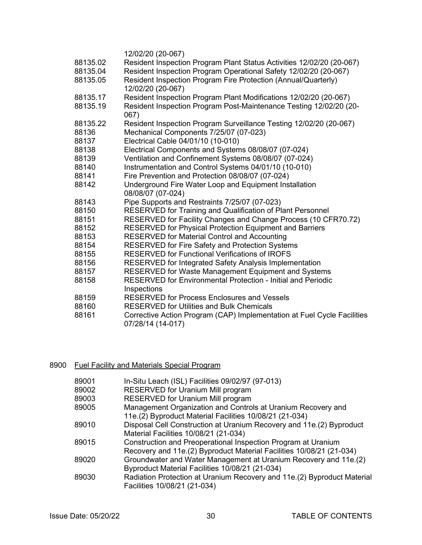|          | 12/02/20 (20-067)                                                       |
|----------|-------------------------------------------------------------------------|
| 88135.02 | Resident Inspection Program Plant Status Activities 12/02/20 (20-067)   |
| 88135.04 | Resident Inspection Program Operational Safety 12/02/20 (20-067)        |
| 88135.05 | Resident Inspection Program Fire Protection (Annual/Quarterly)          |
|          | 12/02/20 (20-067)                                                       |
| 88135.17 | Resident Inspection Program Plant Modifications 12/02/20 (20-067)       |
| 88135.19 | Resident Inspection Program Post-Maintenance Testing 12/02/20 (20-      |
|          | 067)                                                                    |
| 88135.22 | Resident Inspection Program Surveillance Testing 12/02/20 (20-067)      |
| 88136    | Mechanical Components 7/25/07 (07-023)                                  |
| 88137    | Electrical Cable 04/01/10 (10-010)                                      |
| 88138    | Electrical Components and Systems 08/08/07 (07-024)                     |
| 88139    | Ventilation and Confinement Systems 08/08/07 (07-024)                   |
| 88140    | Instrumentation and Control Systems 04/01/10 (10-010)                   |
| 88141    | Fire Prevention and Protection 08/08/07 (07-024)                        |
| 88142    | Underground Fire Water Loop and Equipment Installation                  |
|          | 08/08/07 (07-024)                                                       |
| 88143    | Pipe Supports and Restraints 7/25/07 (07-023)                           |
| 88150    | RESERVED for Training and Qualification of Plant Personnel              |
| 88151    | RESERVED for Facility Changes and Change Process (10 CFR70.72)          |
| 88152    | RESERVED for Physical Protection Equipment and Barriers                 |
| 88153    | <b>RESERVED for Material Control and Accounting</b>                     |
| 88154    | <b>RESERVED for Fire Safety and Protection Systems</b>                  |
| 88155    | RESERVED for Functional Verifications of IROFS                          |
| 88156    | RESERVED for Integrated Safety Analysis Implementation                  |
| 88157    | RESERVED for Waste Management Equipment and Systems                     |
| 88158    | <b>RESERVED for Environmental Protection - Initial and Periodic</b>     |
|          | Inspections                                                             |
| 88159    | <b>RESERVED for Process Enclosures and Vessels</b>                      |
| 88160    | <b>RESERVED for Utilities and Bulk Chemicals</b>                        |
| 88161    | Corrective Action Program (CAP) Implementation at Fuel Cycle Facilities |
|          | 07/28/14 (14-017)                                                       |
|          |                                                                         |

# 8900 Fuel Facility and Materials Special Program

| 89001 | In-Situ Leach (ISL) Facilities 09/02/97 (97-013)                        |
|-------|-------------------------------------------------------------------------|
| 89002 | RESERVED for Uranium Mill program                                       |
| 89003 | RESERVED for Uranium Mill program                                       |
| 89005 | Management Organization and Controls at Uranium Recovery and            |
|       | 11e.(2) Byproduct Material Facilities 10/08/21 (21-034)                 |
| 89010 | Disposal Cell Construction at Uranium Recovery and 11e.(2) Byproduct    |
|       | Material Facilities 10/08/21 (21-034)                                   |
| 89015 | Construction and Preoperational Inspection Program at Uranium           |
|       | Recovery and 11e.(2) Byproduct Material Facilities 10/08/21 (21-034)    |
| 89020 | Groundwater and Water Management at Uranium Recovery and 11e.(2)        |
|       | Byproduct Material Facilities 10/08/21 (21-034)                         |
| 89030 | Radiation Protection at Uranium Recovery and 11e.(2) Byproduct Material |
|       | Facilities 10/08/21 (21-034)                                            |
|       |                                                                         |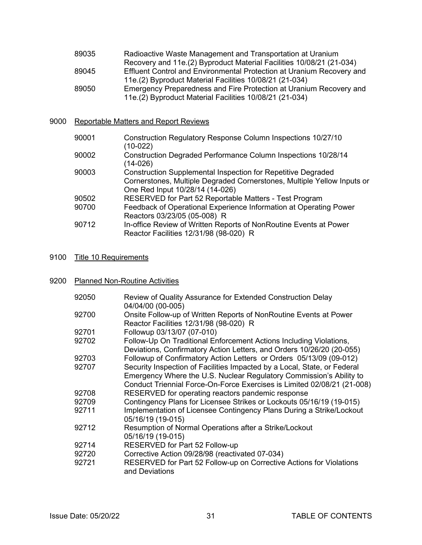| 89035 | Radioactive Waste Management and Transportation at Uranium            |
|-------|-----------------------------------------------------------------------|
|       | Recovery and 11e.(2) Byproduct Material Facilities 10/08/21 (21-034)  |
| 89045 | Effluent Control and Environmental Protection at Uranium Recovery and |
|       | 11e.(2) Byproduct Material Facilities 10/08/21 (21-034)               |
| 89050 | Emergency Preparedness and Fire Protection at Uranium Recovery and    |
|       | 11e.(2) Byproduct Material Facilities 10/08/21 (21-034)               |

### 9000 Reportable Matters and Report Reviews

| 90001 | Construction Regulatory Response Column Inspections 10/27/10<br>$(10-022)$                                                                                                        |
|-------|-----------------------------------------------------------------------------------------------------------------------------------------------------------------------------------|
| 90002 | Construction Degraded Performance Column Inspections 10/28/14<br>$(14-026)$                                                                                                       |
| 90003 | <b>Construction Supplemental Inspection for Repetitive Degraded</b><br>Cornerstones, Multiple Degraded Cornerstones, Multiple Yellow Inputs or<br>One Red Input 10/28/14 (14-026) |
| 90502 | RESERVED for Part 52 Reportable Matters - Test Program                                                                                                                            |
| 90700 | Feedback of Operational Experience Information at Operating Power<br>Reactors 03/23/05 (05-008) R                                                                                 |
| 90712 | In-office Review of Written Reports of NonRoutine Events at Power<br>Reactor Facilities 12/31/98 (98-020) R                                                                       |

### 9100 Title 10 Requirements

# 9200 Planned Non-Routine Activities

| 92050 | Review of Quality Assurance for Extended Construction Delay                            |
|-------|----------------------------------------------------------------------------------------|
| 92700 | 04/04/00 (00-005)<br>Onsite Follow-up of Written Reports of NonRoutine Events at Power |
|       | Reactor Facilities 12/31/98 (98-020) R                                                 |
| 92701 | Followup 03/13/07 (07-010)                                                             |
| 92702 | Follow-Up On Traditional Enforcement Actions Including Violations,                     |
|       | Deviations, Confirmatory Action Letters, and Orders 10/26/20 (20-055)                  |
| 92703 | Followup of Confirmatory Action Letters or Orders 05/13/09 (09-012)                    |
| 92707 | Security Inspection of Facilities Impacted by a Local, State, or Federal               |
|       | Emergency Where the U.S. Nuclear Regulatory Commission's Ability to                    |
|       | Conduct Triennial Force-On-Force Exercises is Limited 02/08/21 (21-008)                |
| 92708 | RESERVED for operating reactors pandemic response                                      |
| 92709 | Contingency Plans for Licensee Strikes or Lockouts 05/16/19 (19-015)                   |
| 92711 | Implementation of Licensee Contingency Plans During a Strike/Lockout                   |
|       | 05/16/19 (19-015)                                                                      |
| 92712 | Resumption of Normal Operations after a Strike/Lockout                                 |
|       | 05/16/19 (19-015)                                                                      |
| 92714 | RESERVED for Part 52 Follow-up                                                         |
| 92720 | Corrective Action 09/28/98 (reactivated 07-034)                                        |
| 92721 | RESERVED for Part 52 Follow-up on Corrective Actions for Violations                    |
|       | and Deviations                                                                         |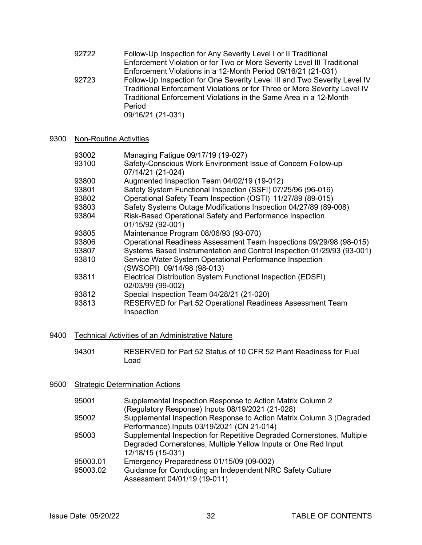- 92722 Follow-Up Inspection for Any Severity Level I or II Traditional Enforcement Violation or for Two or More Severity Level III Traditional Enforcement Violations in a 12-Month Period 09/16/21 (21-031) 92723 Follow-Up Inspection for One Severity Level III and Two Severity Level IV Traditional Enforcement Violations or for Three or More Severity Level IV Traditional Enforcement Violations in the Same Area in a 12-Month Period 09/16/21 (21-031)
- 9300 Non-Routine Activities

| 93002 | Managing Fatigue 09/17/19 (19-027)                                       |
|-------|--------------------------------------------------------------------------|
| 93100 | Safety-Conscious Work Environment Issue of Concern Follow-up             |
|       | 07/14/21 (21-024)                                                        |
| 93800 | Augmented Inspection Team 04/02/19 (19-012)                              |
| 93801 | Safety System Functional Inspection (SSFI) 07/25/96 (96-016)             |
| 93802 | Operational Safety Team Inspection (OSTI) 11/27/89 (89-015)              |
| 93803 | Safety Systems Outage Modifications Inspection 04/27/89 (89-008)         |
| 93804 | Risk-Based Operational Safety and Performance Inspection                 |
|       | 01/15/92 (92-001)                                                        |
| 93805 | Maintenance Program 08/06/93 (93-070)                                    |
| 93806 | Operational Readiness Assessment Team Inspections 09/29/98 (98-015)      |
| 93807 | Systems Based Instrumentation and Control Inspection 01/29/93 (93-001)   |
| 93810 | Service Water System Operational Performance Inspection                  |
|       | (SWSOPI) 09/14/98 (98-013)                                               |
| 93811 | Electrical Distribution System Functional Inspection (EDSFI)             |
|       | 02/03/99 (99-002)                                                        |
| 93812 | Special Inspection Team 04/28/21 (21-020)                                |
| 93813 | RESERVED for Part 52 Operational Readiness Assessment Team<br>Inspection |
|       |                                                                          |

- 9400 Technical Activities of an Administrative Nature
	- 94301 RESERVED for Part 52 Status of 10 CFR 52 Plant Readiness for Fuel Load

### 9500 Strategic Determination Actions

| 95001    | Supplemental Inspection Response to Action Matrix Column 2             |
|----------|------------------------------------------------------------------------|
|          | (Regulatory Response) Inputs 08/19/2021 (21-028)                       |
| 95002    | Supplemental Inspection Response to Action Matrix Column 3 (Degraded   |
|          | Performance) Inputs 03/19/2021 (CN 21-014)                             |
| 95003    | Supplemental Inspection for Repetitive Degraded Cornerstones, Multiple |
|          | Degraded Cornerstones, Multiple Yellow Inputs or One Red Input         |
|          | 12/18/15 (15-031)                                                      |
| 95003.01 | Emergency Preparedness 01/15/09 (09-002)                               |
| 95003.02 | Guidance for Conducting an Independent NRC Safety Culture              |
|          | Assessment 04/01/19 (19-011)                                           |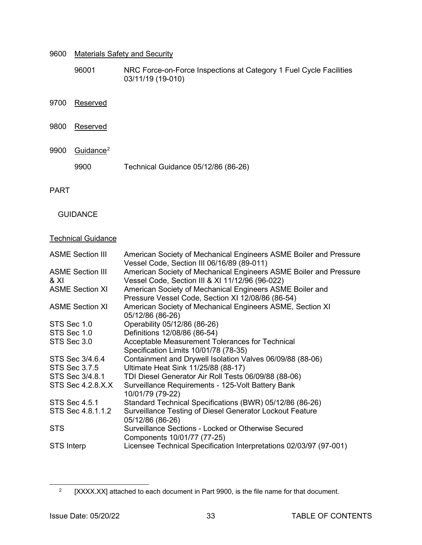| 9600 | <b>Materials Safety and Security</b> |                                                                                         |  |  |
|------|--------------------------------------|-----------------------------------------------------------------------------------------|--|--|
|      | 96001                                | NRC Force-on-Force Inspections at Category 1 Fuel Cycle Facilities<br>03/11/19 (19-010) |  |  |
| 9700 | Reserved                             |                                                                                         |  |  |
| 9800 | Reserved                             |                                                                                         |  |  |
| 9900 | Guidance <sup>2</sup>                |                                                                                         |  |  |
|      | 9900                                 | Technical Guidance 05/12/86 (86-26)                                                     |  |  |

PART

### **GUIDANCE**

### **Technical Guidance**

| <b>ASME Section III</b>         | American Society of Mechanical Engineers ASME Boiler and Pressure<br>Vessel Code, Section III 06/16/89 (89-011)      |
|---------------------------------|----------------------------------------------------------------------------------------------------------------------|
| <b>ASME Section III</b><br>& XI | American Society of Mechanical Engineers ASME Boiler and Pressure<br>Vessel Code, Section III & XI 11/12/96 (96-022) |
| <b>ASME Section XI</b>          | American Society of Mechanical Engineers ASME Boiler and<br>Pressure Vessel Code, Section XI 12/08/86 (86-54)        |
| <b>ASME Section XI</b>          | American Society of Mechanical Engineers ASME, Section XI<br>05/12/86 (86-26)                                        |
| STS Sec 1.0                     | Operability 05/12/86 (86-26)                                                                                         |
| STS Sec 1.0                     | Definitions 12/08/86 (86-54)                                                                                         |
| STS Sec 3.0                     | Acceptable Measurement Tolerances for Technical                                                                      |
|                                 | Specification Limits 10/01/78 (78-35)                                                                                |
| STS Sec 3/4.6.4                 | Containment and Drywell Isolation Valves 06/09/88 (88-06)                                                            |
| STS Sec 3.7.5                   | Ultimate Heat Sink 11/25/88 (88-17)                                                                                  |
| STS Sec 3/4.8.1                 | TDI Diesel Generator Air Roll Tests 06/09/88 (88-06)                                                                 |
| STS Sec 4.2.8.X.X               | Surveillance Requirements - 125-Volt Battery Bank<br>10/01/79 (79-22)                                                |
| <b>STS Sec 4.5.1</b>            | Standard Technical Specifications (BWR) 05/12/86 (86-26)                                                             |
| STS Sec 4.8.1.1.2               | Surveillance Testing of Diesel Generator Lockout Feature<br>05/12/86 (86-26)                                         |
| <b>STS</b>                      | Surveillance Sections - Locked or Otherwise Secured<br>Components 10/01/77 (77-25)                                   |
| <b>STS Interp</b>               | Licensee Technical Specification Interpretations 02/03/97 (97-001)                                                   |
|                                 |                                                                                                                      |

<span id="page-32-0"></span><sup>&</sup>lt;sup>2</sup> [XXXX.XX] attached to each document in Part 9900, is the file name for that document.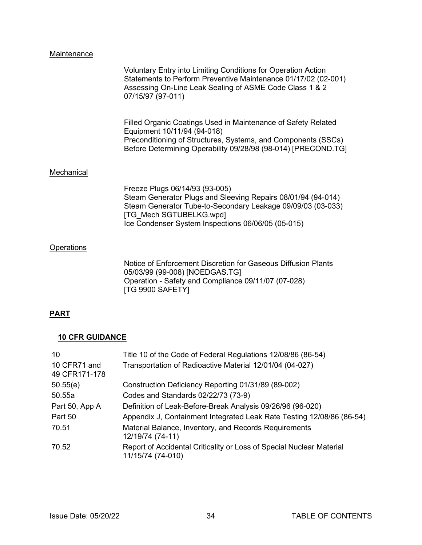### Maintenance

| Voluntary Entry into Limiting Conditions for Operation Action<br>Statements to Perform Preventive Maintenance 01/17/02 (02-001)<br>Assessing On-Line Leak Sealing of ASME Code Class 1 & 2<br>07/15/97 (97-011) |
|-----------------------------------------------------------------------------------------------------------------------------------------------------------------------------------------------------------------|
|                                                                                                                                                                                                                 |

 Filled Organic Coatings Used in Maintenance of Safety Related Equipment 10/11/94 (94-018) **Preconditioning of Structures, Systems, and Components (SSCs)** Before Determining Operability 09/28/98 (98-014) [PRECOND.TG]

### **Mechanical**

 Freeze Plugs 06/14/93 (93-005) Steam Generator Plugs and Sleeving Repairs 08/01/94 (94-014) Steam Generator Tube-to-Secondary Leakage 09/09/03 (03-033) [TG\_Mech SGTUBELKG.wpd] Ice Condenser System Inspections 06/06/05 (05-015)

### **Operations**

 Notice of Enforcement Discretion for Gaseous Diffusion Plants 05/03/99 (99-008) [NOEDGAS.TG] Operation - Safety and Compliance 09/11/07 (07-028) [TG 9900 SAFETY]

### **PART**

### **10 CFR GUIDANCE**

| 10                            | Title 10 of the Code of Federal Regulations 12/08/86 (86-54)                              |
|-------------------------------|-------------------------------------------------------------------------------------------|
| 10 CFR71 and<br>49 CFR171-178 | Transportation of Radioactive Material 12/01/04 (04-027)                                  |
| 50.55(e)                      | Construction Deficiency Reporting 01/31/89 (89-002)                                       |
| 50.55a                        | Codes and Standards 02/22/73 (73-9)                                                       |
| Part 50, App A                | Definition of Leak-Before-Break Analysis 09/26/96 (96-020)                                |
| Part 50                       | Appendix J, Containment Integrated Leak Rate Testing 12/08/86 (86-54)                     |
| 70.51                         | Material Balance, Inventory, and Records Requirements<br>12/19/74 (74-11)                 |
| 70.52                         | Report of Accidental Criticality or Loss of Special Nuclear Material<br>11/15/74 (74-010) |